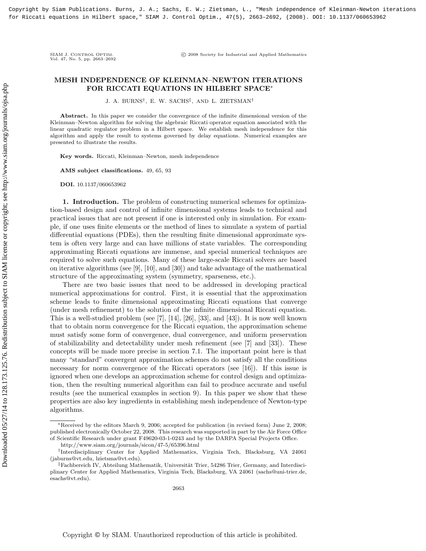SIAM J. CONTROL OPTIM. -Vol. 47, No. 5, pp. 2663–2692

c 2008 Society for Industrial and Applied Mathematics

## **MESH INDEPENDENCE OF KLEINMAN–NEWTON ITERATIONS FOR RICCATI EQUATIONS IN HILBERT SPACE**∗

J. A. BURNS†, E. W. SACHS‡, AND L. ZIETSMAN†

**Abstract.** In this paper we consider the convergence of the infinite dimensional version of the Kleinman–Newton algorithm for solving the algebraic Riccati operator equation associated with the linear quadratic regulator problem in a Hilbert space. We establish mesh independence for this algorithm and apply the result to systems governed by delay equations. Numerical examples are presented to illustrate the results.

**Key words.** Riccati, Kleinman–Newton, mesh independence

**AMS subject classifications.** 49, 65, 93

**DOI.** 10.1137/060653962

**1. Introduction.** The problem of constructing numerical schemes for optimization-based design and control of infinite dimensional systems leads to technical and practical issues that are not present if one is interested only in simulation. For example, if one uses finite elements or the method of lines to simulate a system of partial differential equations (PDEs), then the resulting finite dimensional approximate system is often very large and can have millions of state variables. The corresponding approximating Riccati equations are immense, and special numerical techniques are required to solve such equations. Many of these large-scale Riccati solvers are based on iterative algorithms (see  $[9]$ ,  $[10]$ , and  $[30]$ ) and take advantage of the mathematical structure of the approximating system (symmetry, sparseness, etc.).

There are two basic issues that need to be addressed in developing practical numerical approximations for control. First, it is essential that the approximation scheme leads to finite dimensional approximating Riccati equations that converge (under mesh refinement) to the solution of the infinite dimensional Riccati equation. This is a well-studied problem (see  $[7]$ ,  $[14]$ ,  $[26]$ ,  $[33]$ , and  $[43]$ ). It is now well known that to obtain norm convergence for the Riccati equation, the approximation scheme must satisfy some form of convergence, dual convergence, and uniform preservation of stabilizability and detectability under mesh refinement (see [7] and [33]). These concepts will be made more precise in section 7.1. The important point here is that many "standard" convergent approximation schemes do not satisfy all the conditions necessary for norm convergence of the Riccati operators (see [16]). If this issue is ignored when one develops an approximation scheme for control design and optimization, then the resulting numerical algorithm can fail to produce accurate and useful results (see the numerical examples in section 9). In this paper we show that these properties are also key ingredients in establishing mesh independence of Newton-type algorithms.

<sup>∗</sup>Received by the editors March 9, 2006; accepted for publication (in revised form) June 2, 2008; published electronically October 22, 2008. This research was supported in part by the Air Force Office of Scientific Research under grant F49620-03-1-0243 and by the DARPA Special Projects Office.

http://www.siam.org/journals/sicon/47-5/65396.html

<sup>†</sup>Interdisciplinary Center for Applied Mathematics, Virginia Tech, Blacksburg, VA 24061 (jaburns@vt.edu, lzietsma@vt.edu).

<sup>&</sup>lt;sup>‡</sup>Fachbereich IV, Abteilung Mathematik, Universität Trier, 54286 Trier, Germany, and Interdisciplinary Center for Applied Mathematics, Virginia Tech, Blacksburg, VA 24061 (sachs@uni-trier.de, esachs@vt.edu).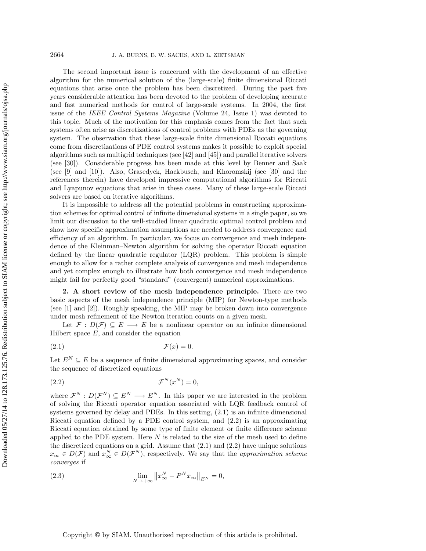The second important issue is concerned with the development of an effective algorithm for the numerical solution of the (large-scale) finite dimensional Riccati equations that arise once the problem has been discretized. During the past five years considerable attention has been devoted to the problem of developing accurate and fast numerical methods for control of large-scale systems. In 2004, the first issue of the IEEE Control Systems Magazine (Volume 24, Issue 1) was devoted to this topic. Much of the motivation for this emphasis comes from the fact that such systems often arise as discretizations of control problems with PDEs as the governing system. The observation that these large-scale finite dimensional Riccati equations come from discretizations of PDE control systems makes it possible to exploit special algorithms such as multigrid techniques (see [42] and [45]) and parallel iterative solvers (see [30]). Considerable progress has been made at this level by Benner and Saak (see [9] and [10]). Also, Grasedyck, Hackbusch, and Khoromskij (see [30] and the references therein) have developed impressive computational algorithms for Riccati and Lyapunov equations that arise in these cases. Many of these large-scale Riccati solvers are based on iterative algorithms.

It is impossible to address all the potential problems in constructing approximation schemes for optimal control of infinite dimensional systems in a single paper, so we limit our discussion to the well-studied linear quadratic optimal control problem and show how specific approximation assumptions are needed to address convergence and efficiency of an algorithm. In particular, we focus on convergence and mesh independence of the Kleinman–Newton algorithm for solving the operator Riccati equation defined by the linear quadratic regulator (LQR) problem. This problem is simple enough to allow for a rather complete analysis of convergence and mesh independence and yet complex enough to illustrate how both convergence and mesh independence might fail for perfectly good "standard" (convergent) numerical approximations.

**2. A short review of the mesh independence principle.** There are two basic aspects of the mesh independence principle (MIP) for Newton-type methods (see [1] and [2]). Roughly speaking, the MIP may be broken down into convergence under mesh refinement of the Newton iteration counts on a given mesh.

Let  $\mathcal{F}: D(\mathcal{F}) \subseteq E \longrightarrow E$  be a nonlinear operator on an infinite dimensional Hilbert space  $E$ , and consider the equation

$$
\mathcal{F}(x) = 0.
$$

Let  $E^N \subseteq E$  be a sequence of finite dimensional approximating spaces, and consider the sequence of discretized equations

$$
\mathcal{F}^N(x^N) = 0,
$$

where  $\mathcal{F}^N : D(\mathcal{F}^N) \subseteq E^N \longrightarrow E^N$ . In this paper we are interested in the problem of solving the Riccati operator equation associated with LQR feedback control of systems governed by delay and PDEs. In this setting, (2.1) is an infinite dimensional Riccati equation defined by a PDE control system, and (2.2) is an approximating Riccati equation obtained by some type of finite element or finite difference scheme applied to the PDE system. Here  $N$  is related to the size of the mesh used to define the discretized equations on a grid. Assume that (2.1) and (2.2) have unique solutions  $x_{\infty} \in D(F)$  and  $x_{\infty}^{N} \in D(F^{N})$ , respectively. We say that the *approximation scheme* converges if

(2.3) 
$$
\lim_{N \to +\infty} ||x_{\infty}^N - P^N x_{\infty}||_{E^N} = 0,
$$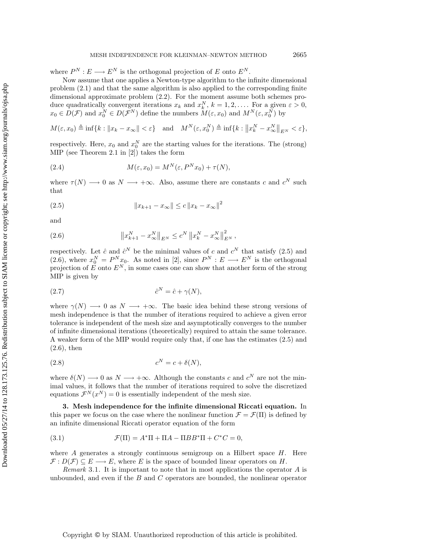where  $P^N : E \longrightarrow E^N$  is the orthogonal projection of E onto  $E^N$ .

Now assume that one applies a Newton-type algorithm to the infinite dimensional problem (2.1) and that the same algorithm is also applied to the corresponding finite dimensional approximate problem (2.2). For the moment assume both schemes produce quadratically convergent iterations  $x_k$  and  $x_k^N$ ,  $k = 1, 2, \ldots$  For a given  $\varepsilon > 0$ ,  $x_0 \in D(\mathcal{F})$  and  $x_0^N \in D(\mathcal{F}^N)$  define the numbers  $M(\varepsilon, x_0)$  and  $M^N(\varepsilon, x_0^N)$  by

$$
M(\varepsilon, x_0) \triangleq \inf\{k : ||x_k - x_\infty|| < \varepsilon\} \quad \text{and} \quad M^N(\varepsilon, x_0^N) \triangleq \inf\{k : ||x_k^N - x_\infty^N||_{E^N} < \varepsilon\},
$$

respectively. Here,  $x_0$  and  $x_0^N$  are the starting values for the iterations. The (strong) MIP (see Theorem 2.1 in [2]) takes the form

(2.4) 
$$
M(\varepsilon, x_0) = M^N(\varepsilon, P^N x_0) + \tau(N),
$$

where  $\tau(N) \longrightarrow 0$  as  $N \longrightarrow +\infty$ . Also, assume there are constants c and  $c^N$  such that

(2.5) 
$$
||x_{k+1} - x_{\infty}|| \leq c ||x_k - x_{\infty}||^2
$$

and

(2.6) 
$$
\|x_{k+1}^N - x_{\infty}^N\|_{E^N} \leq c^N \|x_k^N - x_{\infty}^N\|_{E^N}^2,
$$

respectively. Let  $\hat{c}$  and  $\hat{c}^N$  be the minimal values of c and  $c^N$  that satisfy (2.5) and (2.6), where  $x_0^N = P^N x_0$ . As noted in [2], since  $P^N : E \longrightarrow E^N$  is the orthogonal projection of  $E$  onto  $E^N$ , in some cases one can show that another form of the strong MIP is given by

$$
(2.7) \t\t\t \hat{c}^N = \hat{c} + \gamma(N),
$$

where  $\gamma(N) \longrightarrow 0$  as  $N \longrightarrow +\infty$ . The basic idea behind these strong versions of mesh independence is that the number of iterations required to achieve a given error tolerance is independent of the mesh size and asymptotically converges to the number of infinite dimensional iterations (theoretically) required to attain the same tolerance. A weaker form of the MIP would require only that, if one has the estimates (2.5) and (2.6), then

$$
(2.8) \t\t c^N = c + \delta(N),
$$

where  $\delta(N) \longrightarrow 0$  as  $N \longrightarrow +\infty$ . Although the constants c and  $c^N$  are not the minimal values, it follows that the number of iterations required to solve the discretized equations  $\mathcal{F}^N(x^N) = 0$  is essentially independent of the mesh size.

**3. Mesh independence for the infinite dimensional Riccati equation.** In this paper we focus on the case where the nonlinear function  $\mathcal{F} = \mathcal{F}(\Pi)$  is defined by an infinite dimensional Riccati operator equation of the form

(3.1) 
$$
\mathcal{F}(\Pi) = A^*\Pi + \Pi A - \Pi BB^*\Pi + C^*C = 0,
$$

where A generates a strongly continuous semigroup on a Hilbert space  $H$ . Here  $\mathcal{F}: D(\mathcal{F}) \subseteq E \longrightarrow E$ , where E is the space of bounded linear operators on H.

*Remark* 3.1. It is important to note that in most applications the operator  $\vec{A}$  is unbounded, and even if the  $B$  and  $C$  operators are bounded, the nonlinear operator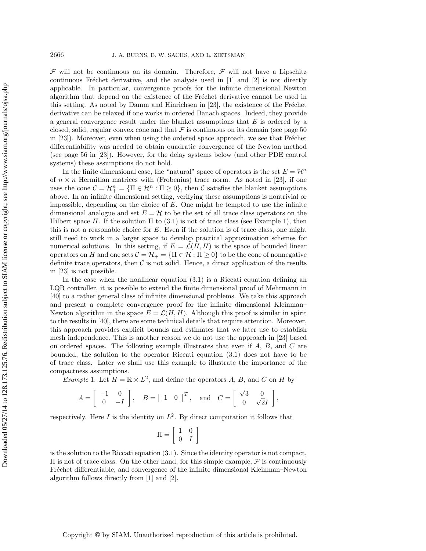$\mathcal F$  will not be continuous on its domain. Therefore,  $\mathcal F$  will not have a Lipschitz continuous Fréchet derivative, and the analysis used in  $[1]$  and  $[2]$  is not directly applicable. In particular, convergence proofs for the infinite dimensional Newton algorithm that depend on the existence of the Fréchet derivative cannot be used in this setting. As noted by Damm and Hinrichsen in  $[23]$ , the existence of the Fréchet derivative can be relaxed if one works in ordered Banach spaces. Indeed, they provide a general convergence result under the blanket assumptions that  $E$  is ordered by a closed, solid, regular convex cone and that  $\mathcal F$  is continuous on its domain (see page 50) in  $[23]$ ). Moreover, even when using the ordered space approach, we see that Fréchet differentiability was needed to obtain quadratic convergence of the Newton method (see page 56 in [23]). However, for the delay systems below (and other PDE control systems) these assumptions do not hold.

In the finite dimensional case, the "natural" space of operators is the set  $E = \mathcal{H}^n$ of  $n \times n$  Hermitian matrices with (Frobenius) trace norm. As noted in [23], if one uses the cone  $\mathcal{C} = \mathcal{H}_{+}^{n} = \{\Pi \in \mathcal{H}^{n} : \Pi \ge 0\}$ , then  $\mathcal{C}$  satisfies the blanket assumptions above. In an infinite dimensional setting, verifying these assumptions is nontrivial or impossible, depending on the choice of  $E$ . One might be tempted to use the infinite dimensional analogue and set  $E = H$  to be the set of all trace class operators on the Hilbert space H. If the solution  $\Pi$  to (3.1) is not of trace class (see Example 1), then this is not a reasonable choice for  $E$ . Even if the solution is of trace class, one might still need to work in a larger space to develop practical approximation schemes for numerical solutions. In this setting, if  $E = \mathcal{L}(H, H)$  is the space of bounded linear operators on H and one sets  $C = H_+ = \{\Pi \in H : \Pi \geq 0\}$  to be the cone of nonnegative definite trace operators, then  $\mathcal C$  is not solid. Hence, a direct application of the results in [23] is not possible.

In the case when the nonlinear equation  $(3.1)$  is a Riccati equation defining an LQR controller, it is possible to extend the finite dimensional proof of Mehrmann in [40] to a rather general class of infinite dimensional problems. We take this approach and present a complete convergence proof for the infinite dimensional Kleinman– Newton algorithm in the space  $E = \mathcal{L}(H, H)$ . Although this proof is similar in spirit to the results in [40], there are some technical details that require attention. Moreover, this approach provides explicit bounds and estimates that we later use to establish mesh independence. This is another reason we do not use the approach in [23] based on ordered spaces. The following example illustrates that even if  $A, B$ , and  $C$  are bounded, the solution to the operator Riccati equation (3.1) does not have to be of trace class. Later we shall use this example to illustrate the importance of the compactness assumptions.

*Example 1.* Let  $H = \mathbb{R} \times L^2$ , and define the operators A, B, and C on H by

$$
A = \begin{bmatrix} -1 & 0 \\ 0 & -I \end{bmatrix}, \quad B = \begin{bmatrix} 1 & 0 \end{bmatrix}^T, \text{ and } C = \begin{bmatrix} \sqrt{3} & 0 \\ 0 & \sqrt{2}I \end{bmatrix},
$$

respectively. Here I is the identity on  $L^2$ . By direct computation it follows that

$$
\Pi = \left[ \begin{array}{cc} 1 & 0 \\ 0 & I \end{array} \right]
$$

is the solution to the Riccati equation (3.1). Since the identity operator is not compact, Π is not of trace class. On the other hand, for this simple example, F is continuously Fréchet differentiable, and convergence of the infinite dimensional Kleinman–Newton algorithm follows directly from [1] and [2].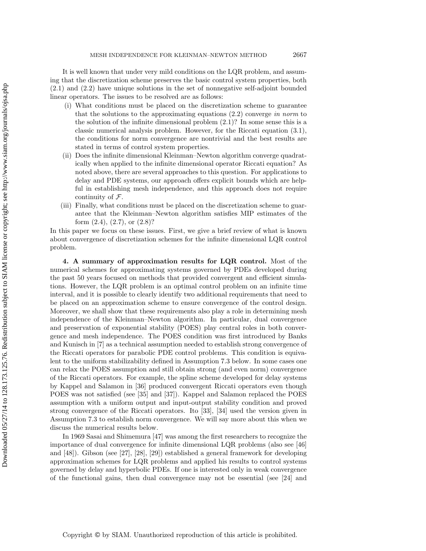It is well known that under very mild conditions on the LQR problem, and assuming that the discretization scheme preserves the basic control system properties, both (2.1) and (2.2) have unique solutions in the set of nonnegative self-adjoint bounded linear operators. The issues to be resolved are as follows:

- (i) What conditions must be placed on the discretization scheme to guarantee that the solutions to the approximating equations  $(2.2)$  converge in norm to the solution of the infinite dimensional problem (2.1)? In some sense this is a classic numerical analysis problem. However, for the Riccati equation (3.1), the conditions for norm convergence are nontrivial and the best results are stated in terms of control system properties.
- (ii) Does the infinite dimensional Kleinman–Newton algorithm converge quadratically when applied to the infinite dimensional operator Riccati equation? As noted above, there are several approaches to this question. For applications to delay and PDE systems, our approach offers explicit bounds which are helpful in establishing mesh independence, and this approach does not require continuity of  $\mathcal{F}$ .
- (iii) Finally, what conditions must be placed on the discretization scheme to guarantee that the Kleinman–Newton algorithm satisfies MIP estimates of the form (2.4), (2.7), or (2.8)?

In this paper we focus on these issues. First, we give a brief review of what is known about convergence of discretization schemes for the infinite dimensional LQR control problem.

**4. A summary of approximation results for LQR control.** Most of the numerical schemes for approximating systems governed by PDEs developed during the past 50 years focused on methods that provided convergent and efficient simulations. However, the LQR problem is an optimal control problem on an infinite time interval, and it is possible to clearly identify two additional requirements that need to be placed on an approximation scheme to ensure convergence of the control design. Moreover, we shall show that these requirements also play a role in determining mesh independence of the Kleinman–Newton algorithm. In particular, dual convergence and preservation of exponential stability (POES) play central roles in both convergence and mesh independence. The POES condition was first introduced by Banks and Kunisch in [7] as a technical assumption needed to establish strong convergence of the Riccati operators for parabolic PDE control problems. This condition is equivalent to the uniform stabilizability defined in Assumption 7.3 below. In some cases one can relax the POES assumption and still obtain strong (and even norm) convergence of the Riccati operators. For example, the spline scheme developed for delay systems by Kappel and Salamon in [36] produced convergent Riccati operators even though POES was not satisfied (see [35] and [37]). Kappel and Salamon replaced the POES assumption with a uniform output and input-output stability condition and proved strong convergence of the Riccati operators. Ito [33], [34] used the version given in Assumption 7.3 to establish norm convergence. We will say more about this when we discuss the numerical results below.

In 1969 Sasai and Shimemura [47] was among the first researchers to recognize the importance of dual convergence for infinite dimensional LQR problems (also see [46] and [48]). Gibson (see [27], [28], [29]) established a general framework for developing approximation schemes for LQR problems and applied his results to control systems governed by delay and hyperbolic PDEs. If one is interested only in weak convergence of the functional gains, then dual convergence may not be essential (see [24] and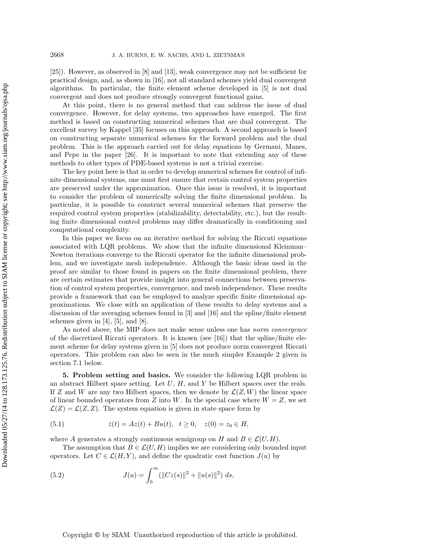[25]). However, as observed in [8] and [13], weak convergence may not be sufficient for practical design, and, as shown in [16], not all standard schemes yield dual convergent algorithms. In particular, the finite element scheme developed in [5] is not dual convergent and does not produce strongly convergent functional gains.

At this point, there is no general method that can address the issue of dual convergence. However, for delay systems, two approaches have emerged. The first method is based on constructing numerical schemes that are dual convergent. The excellent survey by Kappel [35] focuses on this approach. A second approach is based on constructing separate numerical schemes for the forward problem and the dual problem. This is the approach carried out for delay equations by Germani, Manes, and Pepe in the paper [26]. It is important to note that extending any of these methods to other types of PDE-based systems is not a trivial exercise.

The key point here is that in order to develop numerical schemes for control of infinite dimensional systems, one must first ensure that certain control system properties are preserved under the approximation. Once this issue is resolved, it is important to consider the problem of numerically solving the finite dimensional problem. In particular, it is possible to construct several numerical schemes that preserve the required control system properties (stabilizability, detectability, etc.), but the resulting finite dimensional control problems may differ dramatically in conditioning and computational complexity.

In this paper we focus on an iterative method for solving the Riccati equations associated with LQR problems. We show that the infinite dimensional Kleinman– Newton iterations converge to the Riccati operator for the infinite dimensional problem, and we investigate mesh independence. Although the basic ideas used in the proof are similar to those found in papers on the finite dimensional problem, there are certain estimates that provide insight into general connections between preservation of control system properties, convergence, and mesh independence. These results provide a framework that can be employed to analyze specific finite dimensional approximations. We close with an application of these results to delay systems and a discussion of the averaging schemes found in [3] and [16] and the spline/finite element schemes given in  $[4]$ ,  $[5]$ , and  $[8]$ .

As noted above, the MIP does not make sense unless one has norm convergence of the discretized Riccati operators. It is known (see [16]) that the spline/finite element scheme for delay systems given in [5] does not produce norm convergent Riccati operators. This problem can also be seen in the much simpler Example 2 given in section 7.1 below.

**5. Problem setting and basics.** We consider the following LQR problem in an abstract Hilbert space setting. Let  $U, H$ , and Y be Hilbert spaces over the reals. If Z and W are any two Hilbert spaces, then we denote by  $\mathcal{L}(Z,W)$  the linear space of linear bounded operators from Z into W. In the special case where  $W = Z$ , we set  $\mathcal{L}(Z) = \mathcal{L}(Z, Z)$ . The system equation is given in state space form by

(5.1) 
$$
\dot{z}(t) = Az(t) + Bu(t), \quad t \ge 0, \quad z(0) = z_0 \in H,
$$

where A generates a strongly continuous semigroup on H and  $B \in \mathcal{L}(U, H)$ .

The assumption that  $B \in \mathcal{L}(U, H)$  implies we are considering only bounded input operators. Let  $C \in \mathcal{L}(H, Y)$ , and define the quadratic cost function  $J(u)$  by

(5.2) 
$$
J(u) = \int_0^\infty (||Cz(s)||^2 + ||u(s)||^2) ds,
$$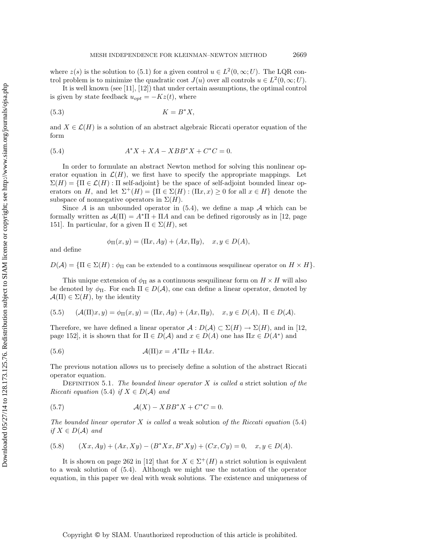where  $z(s)$  is the solution to (5.1) for a given control  $u \in L^2(0,\infty;U)$ . The LQR control problem is to minimize the quadratic cost  $J(u)$  over all controls  $u \in L^2(0,\infty;U)$ .

It is well known (see [11], [12]) that under certain assumptions, the optimal control is given by state feedback  $u_{opt} = -Kz(t)$ , where

$$
(5.3) \t\t K = B^*X,
$$

and  $X \in \mathcal{L}(H)$  is a solution of an abstract algebraic Riccati operator equation of the form

(5.4) 
$$
A^*X + XA - XBB^*X + C^*C = 0.
$$

In order to formulate an abstract Newton method for solving this nonlinear operator equation in  $\mathcal{L}(H)$ , we first have to specify the appropriate mappings. Let  $\Sigma(H) = \{\Pi \in \mathcal{L}(H) : \Pi \text{ self-adjoint }\}$  be the space of self-adjoint bounded linear operators on H, and let  $\Sigma^+(H) = {\Pi \in \Sigma(H) : (\Pi x, x) \geq 0}$  for all  $x \in H}$  denote the subspace of nonnegative operators in  $\Sigma(H)$ .

Since A is an unbounded operator in  $(5.4)$ , we define a map A which can be formally written as  $\mathcal{A}(\Pi) = A^* \Pi + \Pi A$  and can be defined rigorously as in [12, page 151]. In particular, for a given  $\Pi \in \Sigma(H)$ , set

$$
\phi_{\Pi}(x,y) = (\Pi x, Ay) + (Ax, \Pi y), \quad x, y \in D(A),
$$

and define

$$
D(\mathcal{A}) = \{ \Pi \in \Sigma(H) : \phi_{\Pi} \text{ can be extended to a continuous sesquilinear operator on } H \times H \}.
$$

This unique extension of  $\phi_{\Pi}$  as a continuous sesquilinear form on  $H \times H$  will also be denoted by  $\phi_{\Pi}$ . For each  $\Pi \in D(\mathcal{A})$ , one can define a linear operator, denoted by  $\mathcal{A}(\Pi) \in \Sigma(H)$ , by the identity

(5.5) 
$$
(\mathcal{A}(\Pi)x, y) = \phi_{\Pi}(x, y) = (\Pi x, Ay) + (Ax, \Pi y), \quad x, y \in D(A), \ \Pi \in D(\mathcal{A}).
$$

Therefore, we have defined a linear operator  $\mathcal{A}: D(\mathcal{A}) \subset \Sigma(H) \to \Sigma(H)$ , and in [12, page 152], it is shown that for  $\Pi \in D(\mathcal{A})$  and  $x \in D(\mathcal{A})$  one has  $\Pi x \in D(\mathcal{A}^*)$  and

(5.6) 
$$
\mathcal{A}(\Pi)x = A^*\Pi x + \Pi Ax.
$$

The previous notation allows us to precisely define a solution of the abstract Riccati operator equation.

DEFINITION 5.1. The bounded linear operator  $X$  is called a strict solution of the Riccati equation (5.4) if  $X \in D(\mathcal{A})$  and

$$
(5.7) \qquad \mathcal{A}(X) - XBB^*X + C^*C = 0.
$$

The bounded linear operator  $X$  is called a weak solution of the Riccati equation (5.4) if  $X \in D(\mathcal{A})$  and

$$
(5.8) \qquad (Xx, Ay) + (Ax, Xy) - (B^*Xx, B^*Xy) + (Cx, Cy) = 0, \quad x, y \in D(A).
$$

It is shown on page 262 in [12] that for  $X \in \Sigma^+(H)$  a strict solution is equivalent to a weak solution of (5.4). Although we might use the notation of the operator equation, in this paper we deal with weak solutions. The existence and uniqueness of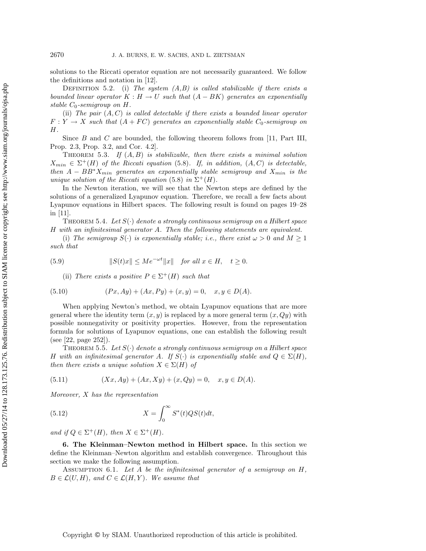solutions to the Riccati operator equation are not necessarily guaranteed. We follow the definitions and notation in [12].

DEFINITION 5.2. (i) The system  $(A,B)$  is called stabilizable if there exists a bounded linear operator  $K : H \to U$  such that  $(A - BK)$  generates an exponentially stable  $C_0$ -semigroup on H.

(ii) The pair  $(A, C)$  is called detectable if there exists a bounded linear operator  $F: Y \to X$  such that  $(A + FC)$  generates an exponentially stable  $C_0$ -semigroup on H.

Since  $B$  and  $C$  are bounded, the following theorem follows from [11, Part III, Prop. 2.3, Prop. 3.2, and Cor. 4.2].

THEOREM 5.3. If  $(A, B)$  is stabilizable, then there exists a minimal solution  $X_{min} \in \Sigma^+(H)$  of the Riccati equation (5.8). If, in addition,  $(A, C)$  is detectable, then  $A - BB^*X_{min}$  generates an exponentially stable semigroup and  $X_{min}$  is the unique solution of the Riccati equation (5.8) in  $\Sigma^+(H)$ .

In the Newton iteration, we will see that the Newton steps are defined by the solutions of a generalized Lyapunov equation. Therefore, we recall a few facts about Lyapunov equations in Hilbert spaces. The following result is found on pages 19–28 in [11].

THEOREM 5.4. Let  $S(\cdot)$  denote a strongly continuous semigroup on a Hilbert space H with an infinitesimal generator A. Then the following statements are equivalent.

(i) The semigroup  $S(\cdot)$  is exponentially stable; i.e., there exist  $\omega > 0$  and  $M \ge 1$ such that

(5.9) 
$$
||S(t)x|| \le Me^{-\omega t} ||x|| \quad \text{for all } x \in H, \quad t \ge 0.
$$

(ii) There exists a positive  $P \in \Sigma^+(H)$  such that

(5.10) 
$$
(Px, Ay) + (Ax, Py) + (x, y) = 0, \quad x, y \in D(A).
$$

When applying Newton's method, we obtain Lyapunov equations that are more general where the identity term  $(x, y)$  is replaced by a more general term  $(x, Qy)$  with possible nonnegativity or positivity properties. However, from the representation formula for solutions of Lyapunov equations, one can establish the following result (see [22, page 252]).

THEOREM 5.5. Let  $S(\cdot)$  denote a strongly continuous semigroup on a Hilbert space H with an infinitesimal generator A. If  $S(\cdot)$  is exponentially stable and  $Q \in \Sigma(H)$ , then there exists a unique solution  $X \in \Sigma(H)$  of

(5.11) 
$$
(Xx, Ay) + (Ax, Xy) + (x, Qy) = 0, \quad x, y \in D(A).
$$

Moreover, X has the representation

(5.12) 
$$
X = \int_0^\infty S^*(t)QS(t)dt,
$$

and if  $Q \in \Sigma^+(H)$ , then  $X \in \Sigma^+(H)$ .

**6. The Kleinman–Newton method in Hilbert space.** In this section we define the Kleinman–Newton algorithm and establish convergence. Throughout this section we make the following assumption.

ASSUMPTION 6.1. Let A be the infinitesimal generator of a semigroup on  $H$ ,  $B \in \mathcal{L}(U, H)$ , and  $C \in \mathcal{L}(H, Y)$ . We assume that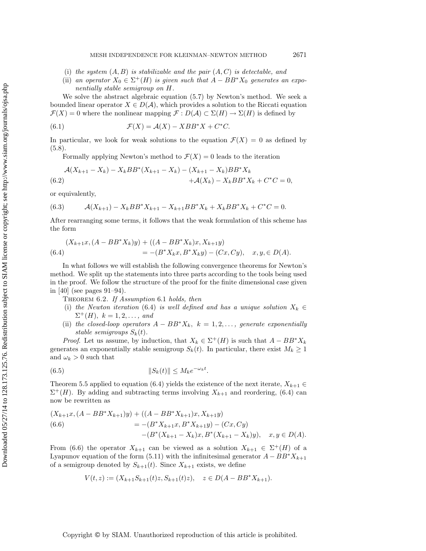- (i) the system  $(A, B)$  is stabilizable and the pair  $(A, C)$  is detectable, and
- (ii) an operator  $X_0 \in \Sigma^+(H)$  is given such that  $A BB^*X_0$  generates an exponentially stable semigroup on H.

We solve the abstract algebraic equation (5.7) by Newton's method. We seek a bounded linear operator  $X \in D(\mathcal{A})$ , which provides a solution to the Riccati equation  $\mathcal{F}(X) = 0$  where the nonlinear mapping  $\mathcal{F}: D(\mathcal{A}) \subset \Sigma(H) \to \Sigma(H)$  is defined by

(6.1) 
$$
\mathcal{F}(X) = \mathcal{A}(X) - XBB^*X + C^*C.
$$

In particular, we look for weak solutions to the equation  $\mathcal{F}(X) = 0$  as defined by (5.8).

Formally applying Newton's method to  $\mathcal{F}(X) = 0$  leads to the iteration

$$
\mathcal{A}(X_{k+1} - X_k) - X_k BB^*(X_{k+1} - X_k) - (X_{k+1} - X_k) BB^* X_k + \mathcal{A}(X_k) - X_k BB^* X_k + C^* C = 0,
$$

or equivalently,

(6.3) 
$$
\mathcal{A}(X_{k+1}) - X_k BB^* X_{k+1} - X_{k+1} BB^* X_k + X_k BB^* X_k + C^* C = 0.
$$

After rearranging some terms, it follows that the weak formulation of this scheme has the form

$$
(X_{k+1}x, (A - BB^*X_k)y) + ((A - BB^*X_k)x, X_{k+1}y)
$$
  
= -(B^\*X\_kx, B^\*X\_ky) - (Cx, Cy), x, y, \in D(A).

In what follows we will establish the following convergence theorems for Newton's method. We split up the statements into three parts according to the tools being used in the proof. We follow the structure of the proof for the finite dimensional case given in [40] (see pages 91–94).

THEOREM 6.2. If Assumption 6.1 holds, then

- (i) the Newton iteration (6.4) is well defined and has a unique solution  $X_k \in$  $\Sigma^+(H)$ ,  $k = 1, 2, \ldots$ , and
- (ii) the closed-loop operators  $A BB^*X_k$ ,  $k = 1, 2, ...,$  generate exponentially stable semigroups  $S_k(t)$ .

*Proof.* Let us assume, by induction, that  $X_k \in \Sigma^+(H)$  is such that  $A - BB^*X_k$ generates an exponentially stable semigroup  $S_k(t)$ . In particular, there exist  $M_k \geq 1$ and  $\omega_k > 0$  such that

$$
(6.5) \t\t\t\t||S_k(t)|| \le M_k e^{-\omega_k t}.
$$

Theorem 5.5 applied to equation (6.4) yields the existence of the next iterate,  $X_{k+1} \in$  $\Sigma^+(H)$ . By adding and subtracting terms involving  $X_{k+1}$  and reordering, (6.4) can now be rewritten as

$$
(X_{k+1}x, (A - BB^*X_{k+1})y) + ((A - BB^*X_{k+1})x, X_{k+1}y)
$$
  
= - $(B^*X_{k+1}x, B^*X_{k+1}y) - (Cx, Cy)$   
- $(B^*(X_{k+1} - X_k)x, B^*(X_{k+1} - X_k)y), x, y \in D(A).$ 

From (6.6) the operator  $X_{k+1}$  can be viewed as a solution  $X_{k+1} \in \Sigma^+(H)$  of a Lyapunov equation of the form (5.11) with the infinitesimal generator  $A - BB^*X_{k+1}$ of a semigroup denoted by  $S_{k+1}(t)$ . Since  $X_{k+1}$  exists, we define

$$
V(t, z) := (X_{k+1}S_{k+1}(t)z, S_{k+1}(t)z), \quad z \in D(A - BB^*X_{k+1}).
$$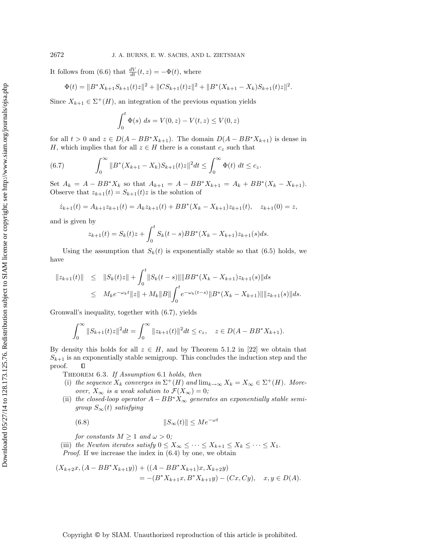It follows from (6.6) that  $\frac{dV}{dt}(t, z) = -\Phi(t)$ , where

$$
\Phi(t) = \|B^* X_{k+1} S_{k+1}(t)z\|^2 + \|CS_{k+1}(t)z\|^2 + \|B^* (X_{k+1} - X_k) S_{k+1}(t)z\|^2.
$$

Since  $X_{k+1} \in \Sigma^+(H)$ , an integration of the previous equation yields

$$
\int_0^t \Phi(s) \, ds = V(0, z) - V(t, z) \le V(0, z)
$$

for all  $t > 0$  and  $z \in D(A - BB^*X_{k+1})$ . The domain  $D(A - BB^*X_{k+1})$  is dense in H, which implies that for all  $z \in H$  there is a constant  $c_z$  such that

(6.7) 
$$
\int_0^\infty \|B^*(X_{k+1} - X_k)S_{k+1}(t)z\|^2 dt \le \int_0^\infty \Phi(t) dt \le c_z.
$$

Set  $A_k = A - BB^*X_k$  so that  $A_{k+1} = A - BB^*X_{k+1} = A_k + BB^*(X_k - X_{k+1}).$ Observe that  $z_{k+1}(t) = S_{k+1}(t)z$  is the solution of

$$
\dot{z}_{k+1}(t) = A_{k+1}z_{k+1}(t) = A_kz_{k+1}(t) + BB^*(X_k - X_{k+1})z_{k+1}(t), \quad z_{k+1}(0) = z,
$$

and is given by

$$
z_{k+1}(t) = S_k(t)z + \int_0^t S_k(t-s)BB^*(X_k - X_{k+1})z_{k+1}(s)ds.
$$

Using the assumption that  $S_k(t)$  is exponentially stable so that (6.5) holds, we have

$$
||z_{k+1}(t)|| \leq ||S_k(t)z|| + \int_0^t ||S_k(t-s)||||BB^*(X_k - X_{k+1})z_{k+1}(s)||ds
$$
  
\n
$$
\leq M_k e^{-\omega_k t} ||z|| + M_k ||B|| \int_0^t e^{-\omega_k(t-s)} ||B^*(X_k - X_{k+1})|| ||z_{k+1}(s)||ds.
$$

Gronwall's inequality, together with (6.7), yields

$$
\int_0^\infty \|S_{k+1}(t)z\|^2 dt = \int_0^\infty \|z_{k+1}(t)\|^2 dt \le c_z, \quad z \in D(A - BB^*X_{k+1}).
$$

By density this holds for all  $z \in H$ , and by Theorem 5.1.2 in [22] we obtain that  $S_{k+1}$  is an exponentially stable semigroup. This concludes the induction step and the proof.  $\Box$ 

THEOREM 6.3. If Assumption 6.1 holds, then

- (i) the sequence  $X_k$  converges in  $\Sigma^+(H)$  and  $\lim_{k\to\infty} X_k = X_\infty \in \Sigma^+(H)$ . Moreover,  $X_{\infty}$  is a weak solution to  $\mathcal{F}(X_{\infty})=0;$
- (ii) the closed-loop operator  $A BB^*X_{\infty}$  generates an exponentially stable semigroup  $S_{\infty}(t)$  satisfying

(6.8) 
$$
||S_{\infty}(t)|| \le Me^{-\omega t}
$$

for constants  $M \geq 1$  and  $\omega > 0$ ;

(iii) the Newton iterates satisfy  $0 \le X_\infty \le \cdots \le X_{k+1} \le X_k \le \cdots \le X_1$ . Proof. If we increase the index in (6.4) by one, we obtain

$$
(X_{k+2}x, (A - BB^*X_{k+1}y)) + ((A - BB^*X_{k+1})x, X_{k+2}y)
$$
  
= -(B^\*X\_{k+1}x, B^\*X\_{k+1}y) - (Cx, Cy), x, y \in D(A).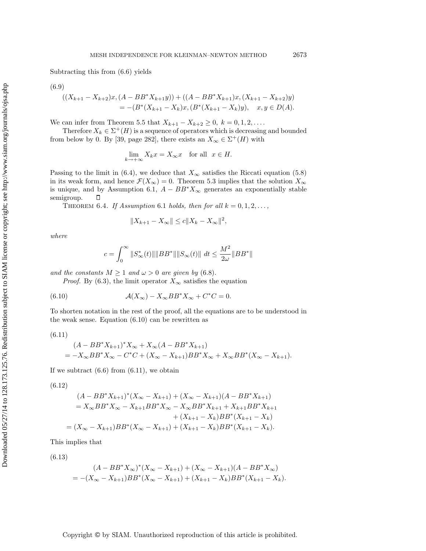Subtracting this from (6.6) yields

(6.9)  
\n
$$
((X_{k+1} - X_{k+2})x, (A - BB^*X_{k+1}y)) + ((A - BB^*X_{k+1})x, (X_{k+1} - X_{k+2})y)
$$
\n
$$
= -(B^*(X_{k+1} - X_k)x, (B^*(X_{k+1} - X_k)y), x, y \in D(A).
$$

We can infer from Theorem 5.5 that  $X_{k+1} - X_{k+2} \ge 0, k = 0, 1, 2, \ldots$ 

Therefore  $X_k \in \Sigma^+(H)$  is a sequence of operators which is decreasing and bounded from below by 0. By [39, page 282], there exists an  $X_{\infty} \in \Sigma^+(H)$  with

$$
\lim_{k \to +\infty} X_k x = X_{\infty} x \quad \text{for all} \ \ x \in H.
$$

Passing to the limit in (6.4), we deduce that  $X_{\infty}$  satisfies the Riccati equation (5.8) in its weak form, and hence  $\mathcal{F}(X_\infty) = 0$ . Theorem 5.3 implies that the solution  $X_\infty$ is unique, and by Assumption 6.1,  $A - BB^*X_{\infty}$  generates an exponentially stable semigroup.  $\square$ semigroup.

THEOREM 6.4. If Assumption 6.1 holds, then for all  $k = 0, 1, 2, \ldots$ ,

$$
||X_{k+1} - X_{\infty}|| \le c||X_k - X_{\infty}||^2,
$$

where

$$
c = \int_0^\infty \|S_\infty^*(t)\| \|BB^*\| \|S_\infty(t)\| \ dt \leq \frac{M^2}{2\omega} \|BB^*\|
$$

and the constants  $M \geq 1$  and  $\omega > 0$  are given by (6.8).

*Proof.* By (6.3), the limit operator  $X_{\infty}$  satisfies the equation

(6.10) 
$$
\mathcal{A}(X_{\infty}) - X_{\infty}BB^*X_{\infty} + C^*C = 0.
$$

To shorten notation in the rest of the proof, all the equations are to be understood in the weak sense. Equation (6.10) can be rewritten as

(6.11)  
\n
$$
(A - BB^* X_{k+1})^* X_{\infty} + X_{\infty} (A - BB^* X_{k+1})
$$
\n
$$
= -X_{\infty} BB^* X_{\infty} - C^* C + (X_{\infty} - X_{k+1}) BB^* X_{\infty} + X_{\infty} BB^* (X_{\infty} - X_{k+1}).
$$

If we subtract  $(6.6)$  from  $(6.11)$ , we obtain

$$
(6.12)
$$
\n
$$
(A - BB^* X_{k+1})^* (X_{\infty} - X_{k+1}) + (X_{\infty} - X_{k+1})(A - BB^* X_{k+1})
$$
\n
$$
= X_{\infty} BB^* X_{\infty} - X_{k+1} BB^* X_{\infty} - X_{\infty} BB^* X_{k+1} + X_{k+1} BB^* X_{k+1}
$$
\n
$$
+ (X_{k+1} - X_k) BB^* (X_{k+1} - X_k)
$$
\n
$$
= (X_{\infty} - X_{k+1}) BB^* (X_{\infty} - X_{k+1}) + (X_{k+1} - X_k) BB^* (X_{k+1} - X_k).
$$

This implies that

(6.13)

$$
(A - BB^*X_{\infty})^*(X_{\infty} - X_{k+1}) + (X_{\infty} - X_{k+1})(A - BB^*X_{\infty})
$$
  
= -(X<sub>\infty</sub> - X<sub>k+1</sub>)BB^\*(X<sub>\infty</sub> - X<sub>k+1</sub>) + (X<sub>k+1</sub> - X<sub>k</sub>)BB^\*(X<sub>k+1</sub> - X<sub>k</sub>).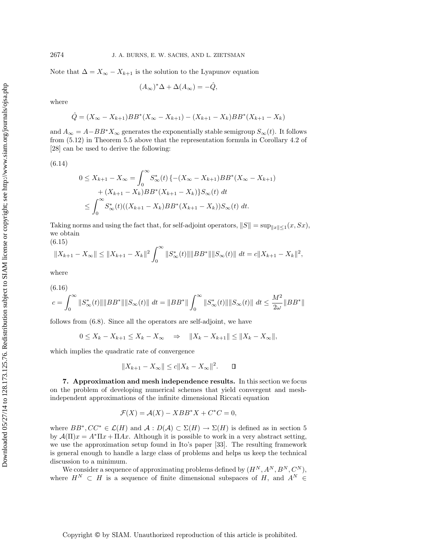Note that  $\Delta = X_{\infty} - X_{k+1}$  is the solution to the Lyapunov equation

$$
(A_{\infty})^* \Delta + \Delta (A_{\infty}) = -\hat{Q},
$$

where

$$
\hat{Q} = (X_{\infty} - X_{k+1})BB^*(X_{\infty} - X_{k+1}) - (X_{k+1} - X_k)BB^*(X_{k+1} - X_k)
$$

and  $A_{\infty} = A - BB^*X_{\infty}$  generates the exponentially stable semigroup  $S_{\infty}(t)$ . It follows from (5.12) in Theorem 5.5 above that the representation formula in Corollary 4.2 of [28] can be used to derive the following:

(6.14)

$$
0 \le X_{k+1} - X_{\infty} = \int_0^{\infty} S_{\infty}^*(t) \left\{ -(X_{\infty} - X_{k+1}) BB^*(X_{\infty} - X_{k+1}) \right. \\ \left. + (X_{k+1} - X_k) BB^*(X_{k+1} - X_k) \right\} S_{\infty}(t) dt
$$
  

$$
\le \int_0^{\infty} S_{\infty}^*(t) ((X_{k+1} - X_k) BB^*(X_{k+1} - X_k)) S_{\infty}(t) dt.
$$

Taking norms and using the fact that, for self-adjoint operators,  $||S|| = \sup_{||x|| \leq 1} (x, Sx)$ , we obtain

$$
(6.15)
$$

$$
||X_{k+1}-X_{\infty}|| \leq ||X_{k+1}-X_k||^2 \int_0^{\infty} ||S_{\infty}^*(t)|| ||BB^*|| ||S_{\infty}(t)|| dt = c||X_{k+1}-X_k||^2,
$$

where

$$
(6.16)
$$
  

$$
c = \int_0^\infty ||S^*_{\infty}(t)|| ||BB^*|| ||S_{\infty}(t)|| dt = ||BB^*|| \int_0^\infty ||S^*_{\infty}(t)|| ||S_{\infty}(t)|| dt \le \frac{M^2}{2\omega} ||BB^*||
$$

follows from (6.8). Since all the operators are self-adjoint, we have

$$
0 \le X_k - X_{k+1} \le X_k - X_\infty \quad \Rightarrow \quad ||X_k - X_{k+1}|| \le ||X_k - X_\infty||,
$$

which implies the quadratic rate of convergence

$$
||X_{k+1} - X_{\infty}|| \le c||X_k - X_{\infty}||^2
$$
.  $\Box$ 

**7. Approximation and mesh independence results.** In this section we focus on the problem of developing numerical schemes that yield convergent and meshindependent approximations of the infinite dimensional Riccati equation

$$
\mathcal{F}(X) = \mathcal{A}(X) - XBB^*X + C^*C = 0,
$$

where  $BB^*, CC^* \in \mathcal{L}(H)$  and  $\mathcal{A}: D(\mathcal{A}) \subset \Sigma(H) \to \Sigma(H)$  is defined as in section 5 by  $\mathcal{A}(\Pi)x = A^*\Pi x + \Pi Ax$ . Although it is possible to work in a very abstract setting, we use the approximation setup found in Ito's paper [33]. The resulting framework is general enough to handle a large class of problems and helps us keep the technical discussion to a minimum.

We consider a sequence of approximating problems defined by  $(H^N, A^N, B^N, C^N)$ , where  $H^N \subset H$  is a sequence of finite dimensional subspaces of H, and  $A^N \in$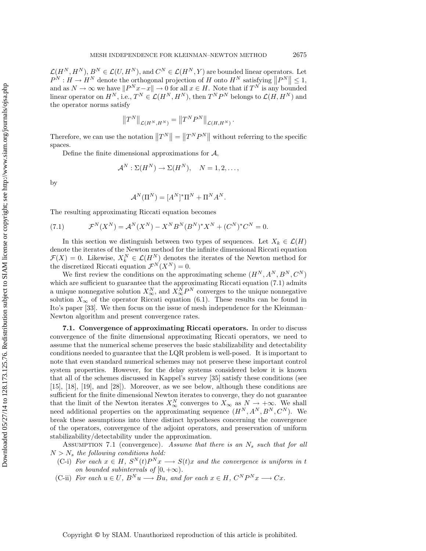$\mathcal{L}(H^N, H^N), B^N \in \mathcal{L}(U, H^N),$  and  $C^N \in \mathcal{L}(H^N, Y)$  are bounded linear operators. Let  $P^N: H \to H^N$  denote the orthogonal projection of H onto  $H^N$  satisfying  $||P^N|| \leq 1$ ,  $\begin{aligned} \text{and as } N \to \infty \text{ we have } ||P^N x - x|| \to 0 \text{ for all } x \in H. \text{ Note that if } T^N \text{ is any bounded} \end{aligned}$ linear operator on  $H^N$ , i.e.,  $T^N \in \mathcal{L}(H^N, H^N)$ , then  $T^N P^N$  belongs to  $\mathcal{L}(H, H^N)$  and the operator norms satisfy

$$
||T^N||_{\mathcal{L}(H^N, H^N)} = ||T^N P^N||_{\mathcal{L}(H, H^N)}.
$$

Therefore, we can use the notation  $||T^N|| = ||T^N P^N||$  without referring to the specific spaces.

Define the finite dimensional approximations for  $A$ ,

$$
\mathcal{A}^N : \Sigma(H^N) \to \Sigma(H^N), \quad N = 1, 2, \dots,
$$

by

$$
\mathcal{A}^N(\Pi^N) = [A^N]^* \Pi^N + \Pi^N A^N.
$$

The resulting approximating Riccati equation becomes

(7.1) 
$$
\mathcal{F}^N(X^N) = \mathcal{A}^N(X^N) - X^N B^N (B^N)^* X^N + (C^N)^* C^N = 0.
$$

In this section we distinguish between two types of sequences. Let  $X_k \in \mathcal{L}(H)$ denote the iterates of the Newton method for the infinite dimensional Riccati equation  $\mathcal{F}(X) = 0$ . Likewise,  $X_k^N \in \mathcal{L}(H^N)$  denotes the iterates of the Newton method for the discretized Riccati equation  $\mathcal{F}^N(X^N) = 0$ .

We first review the conditions on the approximating scheme  $(H^N, A^N, B^N, C^N)$ which are sufficient to guarantee that the approximating Riccati equation (7.1) admits a unique nonnegative solution  $X_{\infty}^N$ , and  $X_{\infty}^N P^N$  converges to the unique nonnegative solution  $X_{\infty}$  of the operator Riccati equation (6.1). These results can be found in Ito's paper [33]. We then focus on the issue of mesh independence for the Kleinman– Newton algorithm and present convergence rates.

**7.1. Convergence of approximating Riccati operators.** In order to discuss convergence of the finite dimensional approximating Riccati operators, we need to assume that the numerical scheme preserves the basic stabilizability and detectability conditions needed to guarantee that the LQR problem is well-posed. It is important to note that even standard numerical schemes may not preserve these important control system properties. However, for the delay systems considered below it is known that all of the schemes discussed in Kappel's survey [35] satisfy these conditions (see [15], [18], [19], and [28]). Moreover, as we see below, although these conditions are sufficient for the finite dimensional Newton iterates to converge, they do not guarantee that the limit of the Newton iterates  $X_{\infty}^N$  converges to  $X_{\infty}$  as  $N \to +\infty$ . We shall need additional properties on the approximating sequence  $(H^N, A^N, B^N, C^N)$ . We break these assumptions into three distinct hypotheses concerning the convergence of the operators, convergence of the adjoint operators, and preservation of uniform stabilizability/detectability under the approximation.

ASSUMPTION 7.1 (convergence). Assume that there is an  $N_s$  such that for all  $N>N_s$  the following conditions hold:

- (C-i) For each  $x \in H$ ,  $S^N(t)P^N x \longrightarrow S(t)x$  and the convergence is uniform in t on bounded subintervals of  $[0, +\infty)$ .
- (C-ii) For each  $u \in U$ ,  $B^N u \longrightarrow Bu$ , and for each  $x \in H$ ,  $C^N P^N x \longrightarrow Cx$ .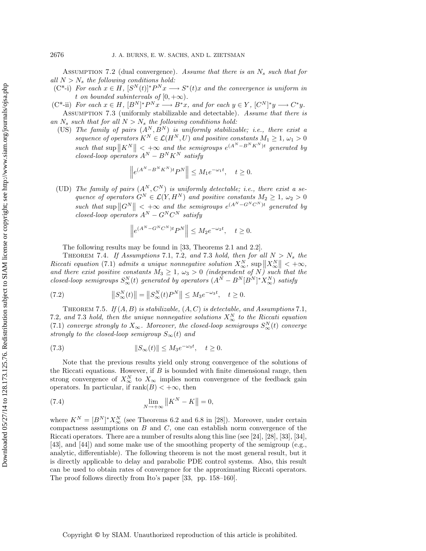ASSUMPTION 7.2 (dual convergence). Assume that there is an  $N_s$  such that for all  $N>N_s$  the following conditions hold:

(C<sup>\*</sup>-i) For each  $x \in H$ ,  $S^N(t)$ <sup>\*</sup> $P^N x \longrightarrow S^*(t)x$  and the convergence is uniform in t on bounded subintervals of  $[0, +\infty)$ .

 $(C^*$ -ii) For each  $x \in H$ ,  $[B^N]^* P^N x \longrightarrow B^* x$ , and for each  $y \in Y$ ,  $[C^N]^* y \longrightarrow C^* y$ . Assumption 7.3 (uniformly stabilizable and detectable). Assume that there is an  $N_s$  such that for all  $N>N_s$  the following conditions hold:

(US) The family of pairs  $(A^N, \check{B}^N)$  is uniformly stabilizable; i.e., there exist a sequence of operators  $K^N \in \mathcal{L}(H^N, U)$  and positive constants  $M_1 \geq 1, \omega_1 > 0$ such that  $\sup \|K^N\| < +\infty$  and the semigroups  $e^{(A^N - B^N K^N)t}$  generated by closed-loop operators  $A^N - B^N K^N$  satisfy

$$
\left\|e^{(A^N - B^N K^N)t} P^N\right\| \le M_1 e^{-\omega_1 t}, \quad t \ge 0.
$$

(UD) The family of pairs  $(A^N, C^N)$  is uniformly detectable; i.e., there exist a sequence of operators  $G^N \in \mathcal{L}(Y, H^N)$  and positive constants  $M_2 \geq 1$ ,  $\omega_2 > 0$ such that  $\sup \|G^N\| < +\infty$  and the semigroups  $e^{(A^N - G^N C^N)t}$  generated by  $closed\text{-}loop\,\,operators\,\,A^N-G^NC^N\,\,satisfy$ 

$$
\left\|e^{(A^N - G^N C^N)t}P^N\right\| \le M_2 e^{-\omega_2 t}, \quad t \ge 0.
$$

The following results may be found in [33, Theorems 2.1 and 2.2].

THEOREM 7.4. If Assumptions 7.1, 7.2, and 7.3 hold, then for all  $N>N_s$  the Riccati equation (7.1) admits a unique nonnegative solution  $X_{\infty}^N$ ,  $\sup_{\infty} ||X_{\infty}^N|| < +\infty$ , Finitudit equation (1.1) damas a unique nonnegative solution  $X_{\infty}$ ,  $\sup_{\Omega} ||X_{\infty}|| < +\infty$ ,<br>and there exist positive constants  $M_3 \ge 1$ ,  $\omega_3 > 0$  (independent of N) such that the closed-loop semigroups  $S^N_\infty(t)$  generated by operators  $(A^N - B^N [B^N]^* X^N_\infty)$  satisfy

(7.2) 
$$
||S_{\infty}^{N}(t)|| = ||S_{\infty}^{N}(t)P^{N}|| \leq M_{3}e^{-\omega_{3}t}, \quad t \geq 0.
$$

THEOREM 7.5. If  $(A, B)$  is stabilizable,  $(A, C)$  is detectable, and Assumptions 7.1, 7.2, and 7.3 hold, then the unique nonnegative solutions  $X_{\infty}^N$  to the Riccati equation (7.1) converge strongly to  $X_{\infty}$ . Moreover, the closed-loop semigroups  $S_{\infty}^{N}(t)$  converge strongly to the closed-loop semigroup  $S_{\infty}(t)$  and

(7.3) 
$$
||S_{\infty}(t)|| \le M_3 e^{-\omega_3 t}, \quad t \ge 0.
$$

Note that the previous results yield only strong convergence of the solutions of the Riccati equations. However, if  $B$  is bounded with finite dimensional range, then strong convergence of  $X^N_{\infty}$  to  $X^{\infty}_{\infty}$  implies norm convergence of the feedback gain operators. In particular, if  $\text{rank}(B) < +\infty$ , then

(7.4) 
$$
\lim_{N \to +\infty} ||K^N - K|| = 0,
$$

where  $K^N = [B^N]^* X^N_{\infty}$  (see Theorems 6.2 and 6.8 in [28]). Moreover, under certain compactness assumptions on  $B$  and  $C$ , one can establish norm convergence of the Riccati operators. There are a number of results along this line (see [24], [28], [33], [34], [43], and [44]) and some make use of the smoothing property of the semigroup (e.g., analytic, differentiable). The following theorem is not the most general result, but it is directly applicable to delay and parabolic PDE control systems. Also, this result can be used to obtain rates of convergence for the approximating Riccati operators. The proof follows directly from Ito's paper [33, pp. 158–160].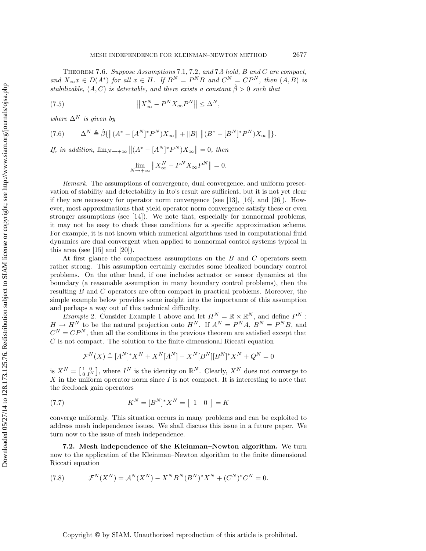Theorem 7.6. Suppose Assumptions 7.1, 7.2, and 7.3 hold, B and C are compact, and  $X_{\infty}x \in D(A^*)$  for all  $x \in H$ . If  $B^N = P^N B$  and  $C^N = CP^N$ , then  $(A, B)$  is stabilizable,  $(A, C)$  is detectable, and there exists a constant  $\hat{\beta} > 0$  such that

(7.5) 
$$
\left\|X_{\infty}^{N} - P^{N} X_{\infty} P^{N}\right\| \leq \Delta^{N},
$$

where  $\Delta^N$  is given by

$$
(7.6) \qquad \Delta^N \triangleq \hat{\beta} \{ \left\| (A^* - [A^N]^* P^N) X_{\infty} \right\| + \|B\| \left\| (B^* - [B^N]^* P^N) X_{\infty} \right\| \}.
$$

If, in addition,  $\lim_{N \to +\infty} \left\| (A^* - [A^N]^* P^N) X_\infty \right\| = 0$ , then

$$
\lim_{N \to +\infty} \|X_{\infty}^N - P^N X_{\infty} P^N\| = 0.
$$

Remark. The assumptions of convergence, dual convergence, and uniform preservation of stability and detectability in Ito's result are sufficient, but it is not yet clear if they are necessary for operator norm convergence (see [13], [16], and [26]). However, most approximations that yield operator norm convergence satisfy these or even stronger assumptions (see [14]). We note that, especially for nonnormal problems, it may not be easy to check these conditions for a specific approximation scheme. For example, it is not known which numerical algorithms used in computational fluid dynamics are dual convergent when applied to nonnormal control systems typical in this area (see [15] and [20]).

At first glance the compactness assumptions on the B and C operators seem rather strong. This assumption certainly excludes some idealized boundary control problems. On the other hand, if one includes actuator or sensor dynamics at the boundary (a reasonable assumption in many boundary control problems), then the resulting B and C operators are often compact in practical problems. Moreover, the simple example below provides some insight into the importance of this assumption and perhaps a way out of this technical difficulty.

Example 2. Consider Example 1 above and let  $H^N = \mathbb{R} \times \mathbb{R}^N$ , and define  $P^N$ :  $H \to H^N$  to be the natural projection onto  $H^N$ . If  $A^N = P^N A$ ,  $B^N = P^N B$ , and  $C^N = CP^N$ , then all the conditions in the previous theorem are satisfied except that C is not compact. The solution to the finite dimensional Riccati equation

$$
\mathcal{F}^N(X) \triangleq [A^N]^*X^N + X^N[A^N] - X^N[B^N][B^N]^*X^N + Q^N = 0
$$

is  $X^N = \begin{bmatrix} 1 & 0 \\ 0 & I^N \end{bmatrix}$ , where  $I^N$  is the identity on  $\mathbb{R}^N$ . Clearly,  $X^N$  does not converge to X in the uniform operator norm since  $I$  is not compact. It is interesting to note that the feedback gain operators

$$
(7.7) \t K^N = [B^N]^* X^N = \begin{bmatrix} 1 & 0 \end{bmatrix} = K
$$

converge uniformly. This situation occurs in many problems and can be exploited to address mesh independence issues. We shall discuss this issue in a future paper. We turn now to the issue of mesh independence.

**7.2. Mesh independence of the Kleinman–Newton algorithm.** We turn now to the application of the Kleinman–Newton algorithm to the finite dimensional Riccati equation

(7.8) 
$$
\mathcal{F}^N(X^N) = \mathcal{A}^N(X^N) - X^N B^N (B^N)^* X^N + (C^N)^* C^N = 0.
$$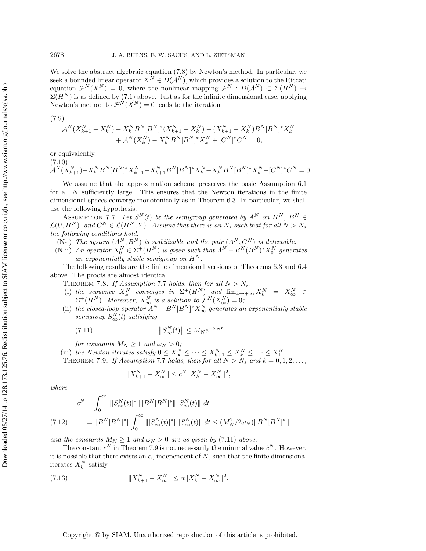We solve the abstract algebraic equation (7.8) by Newton's method. In particular, we seek a bounded linear operator  $X^N \in D(A^N)$ , which provides a solution to the Riccati equation  $\mathcal{F}^N(X^N) = 0$ , where the nonlinear mapping  $\mathcal{F}^N : D(\mathcal{A}^N) \subset \Sigma(H^N) \rightarrow$  $\Sigma(H^N)$  is as defined by (7.1) above. Just as for the infinite dimensional case, applying Newton's method to  $\mathcal{F}^N(X^N) = 0$  leads to the iteration

(7.9)  
\n
$$
\mathcal{A}^{N}(X_{k+1}^{N} - X_{k}^{N}) - X_{k}^{N}B^{N}[B^{N}]^{*}(X_{k+1}^{N} - X_{k}^{N}) - (X_{k+1}^{N} - X_{k}^{N})B^{N}[B^{N}]^{*}X_{k}^{N} + A^{N}(X_{k}^{N}) - X_{k}^{N}B^{N}[B^{N}]^{*}X_{k}^{N} + [C^{N}]^{*}C^{N} = 0,
$$

or equivalently,

(7.10)  $\mathcal{A}^N(X_{k+1}^N) - X_k^N B^N [B^N]^* X_{k+1}^N - X_{k+1}^N B^N [B^N]^* X_k^N + X_k^N B^N [B^N]^* X_k^N + [C^N]^* C^N = 0.$ 

We assume that the approximation scheme preserves the basic Assumption 6.1 for all N sufficiently large. This ensures that the Newton iterations in the finite dimensional spaces converge monotonically as in Theorem 6.3. In particular, we shall use the following hypothesis.

ASSUMPTION 7.7. Let  $S^N(t)$  be the semigroup generated by  $A^N$  on  $H^N$ ,  $B^N \in$  $\mathcal{L}(U, H^N)$ , and  $C^N \in \mathcal{L}(H^N, Y)$ . Assume that there is an  $N_s$  such that for all  $N>N_s$ the following conditions hold:

- (N-i) The system  $(A^N, B^N)$  is stabilizable and the pair  $(A^N, C^N)$  is detectable.
- (N-ii) An operator  $X_0^N \in \Sigma^+(H^N)$  is given such that  $A^N B^N (B^N)^* X_0^N$  generates an exponentially stable semigroup on  $H^N$ .

The following results are the finite dimensional versions of Theorems 6.3 and 6.4 above. The proofs are almost identical.

- THEOREM 7.8. If Assumption 7.7 holds, then for all  $N>N_s$ ,
- (i) the sequence  $X_k^N$  converges in  $\Sigma^+(H^N)$  and  $\lim_{k \to +\infty} X_k^N = X_{\infty}^N \in \Sigma^+(H^N)$ . Moreover,  $X_{\infty}^N$  is a solution to  $\mathcal{F}^N(X_{\infty}^N) = 0$ ;
- (ii) the closed-loop operator  $A^N B^N [B^N]^* X_\infty^N$  generates an exponentially stable  $semigroup$   $S^N_\infty(t)$  satisfying

$$
||S_{\infty}^{N}(t)|| \leq M_{N}e^{-\omega_{N}t}
$$

for constants  $M_N \geq 1$  and  $\omega_N > 0$ ;

- (iii) the Newton iterates satisfy  $0 \leq X_{\infty}^N \leq \cdots \leq X_{k+1}^N \leq X_k^N \leq \cdots \leq X_1^N$ .
- THEOREM 7.9. If Assumption 7.7 holds, then for all  $N > N_s$  and  $k = 0, 1, 2, \ldots$ ,

$$
||X_{k+1}^N - X_{\infty}^N|| \le c^N ||X_k^N - X_{\infty}^N||^2,
$$

where

$$
c^{N} = \int_{0}^{\infty} ||[S_{\infty}^{N}(t)]^{*}|| ||B^{N}[B^{N}]^{*}|| ||S_{\infty}^{N}(t)|| dt
$$
  
(7.12) 
$$
= ||B^{N}[B^{N}]^{*}|| \int_{0}^{\infty} ||[S_{\infty}^{N}(t)]^{*}|| ||S_{\infty}^{N}(t)|| dt \leq (M_{N}^{2}/2\omega_{N}) ||B^{N}[B^{N}]^{*}||
$$

and the constants  $M_N \geq 1$  and  $\omega_N > 0$  are as given by (7.11) above.

The constant  $c^N$  in Theorem 7.9 is not necessarily the minimal value  $\hat{c}^N$ . However, it is possible that there exists an  $\alpha$ , independent of N, such that the finite dimensional iterates  $X_k^N$  satisfy

(7.13) 
$$
||X_{k+1}^N - X_{\infty}^N|| \le \alpha ||X_k^N - X_{\infty}^N||^2.
$$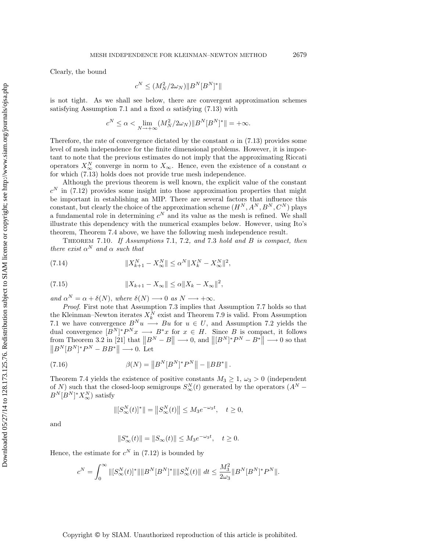Clearly, the bound

$$
c^N\leq (M_N^2/2\omega_N)\|B^N[B^N]^*\|
$$

is not tight. As we shall see below, there are convergent approximation schemes satisfying Assumption 7.1 and a fixed  $\alpha$  satisfying (7.13) with

$$
c^N \le \alpha < \lim_{N \to +\infty} (M_N^2 / 2\omega_N) \|B^N [B^N]^* \| = +\infty.
$$

Therefore, the rate of convergence dictated by the constant  $\alpha$  in (7.13) provides some level of mesh independence for the finite dimensional problems. However, it is important to note that the previous estimates do not imply that the approximating Riccati operators  $X_N^N$  converge in norm to  $X_\infty$ . Hence, even the existence of a constant  $\alpha$ for which (7.13) holds does not provide true mesh independence.

Although the previous theorem is well known, the explicit value of the constant  $c^N$  in (7.12) provides some insight into those approximation properties that might be important in establishing an MIP. There are several factors that influence this constant, but clearly the choice of the approximation scheme  $(H^N, A^N, B^N, C^N)$  plays a fundamental role in determining  $c^N$  and its value as the mesh is refined. We shall illustrate this dependency with the numerical examples below. However, using Ito's theorem, Theorem 7.4 above, we have the following mesh independence result.

THEOREM 7.10. If Assumptions 7.1, 7.2, and 7.3 hold and  $B$  is compact, then there exist  $\alpha^N$  and  $\alpha$  such that

(7.14) 
$$
||X_{k+1}^N - X_{\infty}^N|| \le \alpha^N ||X_k^N - X_{\infty}^N||^2,
$$

(7.15) 
$$
||X_{k+1} - X_{\infty}|| \le \alpha ||X_k - X_{\infty}||^2,
$$

and  $\alpha^N = \alpha + \delta(N)$ , where  $\delta(N) \longrightarrow 0$  as  $N \longrightarrow +\infty$ .

Proof. First note that Assumption 7.3 implies that Assumption 7.7 holds so that the Kleinman–Newton iterates  $X_k^N$  exist and Theorem 7.9 is valid. From Assumption 7.1 we have convergence  $B^{N}u \longrightarrow Bu$  for  $u \in U$ , and Assumption 7.2 yields the dual convergence  $[B^N]^* P^N x \longrightarrow B^* x$  for  $x \in H$ . Since B is compact, it follows from Theorem 3.2 in [21] that  $||B^N - B|| \longrightarrow 0$ , and  $||[B^N]^* P^N - B^*|| \longrightarrow 0$  so that  $||B^N[B^N]^*P^N - BB^*|| \longrightarrow 0.$  Let

(7.16) 
$$
\beta(N) = ||B^N[B^N]^* P^N|| - ||BB^*||.
$$

Theorem 7.4 yields the existence of positive constants  $M_3 \geq 1$ ,  $\omega_3 > 0$  (independent of N) such that the closed-loop semigroups  $S^N_{\infty}(t)$  generated by the operators  $(A^N - N(\mathbb{R}^N), M(\mathbb{R}^N))$  $B^N[B^N]^*X^N_\infty$  satisfy

$$
\| [S^N_{\infty}(t)]^* \| = \| S^N_{\infty}(t) \| \le M_3 e^{-\omega_3 t}, \quad t \ge 0,
$$

and

$$
||S_{\infty}^*(t)|| = ||S_{\infty}(t)|| \le M_3 e^{-\omega_3 t}, \quad t \ge 0.
$$

Hence, the estimate for  $c^N$  in (7.12) is bounded by

$$
c^N = \int_0^\infty ||[S_\infty^N(t)]^*|| ||B^N[B^N]^*|| ||S_\infty^N(t)|| \ dt \le \frac{M_3^2}{2\omega_3} ||B^N[B^N]^* P^N||.
$$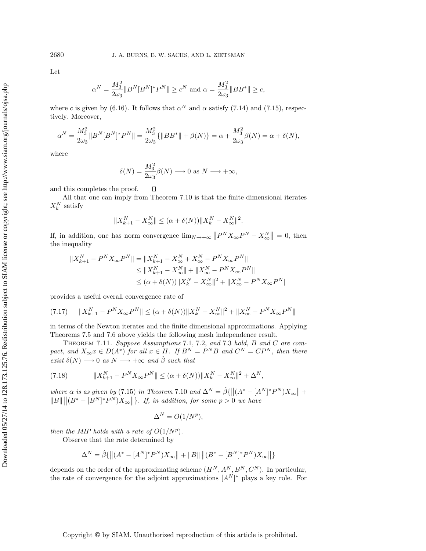Let

$$
\alpha^N = \frac{M_3^2}{2\omega_3} \|B^N [B^N]^* P^N\| \ge c^N \text{ and } \alpha = \frac{M_3^2}{2\omega_3} \|BB^*\| \ge c,
$$

where c is given by (6.16). It follows that  $\alpha^N$  and  $\alpha$  satisfy (7.14) and (7.15), respectively. Moreover,

$$
\alpha^N = \frac{M_3^2}{2\omega_3} \|B^N [B^N]^* P^N\| = \frac{M_3^2}{2\omega_3} \{ \|BB^*\| + \beta(N) \} = \alpha + \frac{M_3^2}{2\omega_3} \beta(N) = \alpha + \delta(N),
$$

where

$$
\delta(N) = \frac{M_3^2}{2\omega_3} \beta(N) \longrightarrow 0 \text{ as } N \longrightarrow +\infty,
$$

and this completes the proof.  $\Box$ 

All that one can imply from Theorem 7.10 is that the finite dimensional iterates  $X_k^N$  satisfy

$$
||X_{k+1}^N - X_{\infty}^N|| \le (\alpha + \delta(N))||X_k^N - X_{\infty}^N||^2.
$$

If, in addition, one has norm convergence  $\lim_{N \to +\infty} ||P^N X_{\infty} P^N - X_{\infty}^N|| = 0$ , then the inequality

$$
||X_{k+1}^{N} - P^{N} X_{\infty} P^{N}|| = ||X_{k+1}^{N} - X_{\infty}^{N} + X_{\infty}^{N} - P^{N} X_{\infty} P^{N}||
$$
  
\n
$$
\leq ||X_{k+1}^{N} - X_{\infty}^{N}|| + ||X_{\infty}^{N} - P^{N} X_{\infty} P^{N}||
$$
  
\n
$$
\leq (\alpha + \delta(N)) ||X_{k}^{N} - X_{\infty}^{N}||^{2} + ||X_{\infty}^{N} - P^{N} X_{\infty} P^{N}||
$$

provides a useful overall convergence rate of

$$
(7.17) \t||X_{k+1}^N - P^N X_{\infty} P^N|| \leq (\alpha + \delta(N)) ||X_k^N - X_{\infty}^N||^2 + ||X_{\infty}^N - P^N X_{\infty} P^N||
$$

in terms of the Newton iterates and the finite dimensional approximations. Applying Theorems 7.5 and 7.6 above yields the following mesh independence result.

THEOREM 7.11. Suppose Assumptions 7.1, 7.2, and 7.3 hold, B and C are compact, and  $X_{\infty}x \in D(A^*)$  for all  $x \in H$ . If  $B^N = P^N B$  and  $C^N = CP^N$ , then there exist  $\delta(N) \longrightarrow 0$  as  $N \longrightarrow +\infty$  and  $\hat{\beta}$  such that

(7.18) 
$$
||X_{k+1}^N - P^N X_{\infty} P^N|| \le (\alpha + \delta(N)) ||X_k^N - X_{\infty}^N||^2 + \Delta^N,
$$

where  $\alpha$  is as given by (7.15) in Theorem 7.10 and  $\Delta^N = \hat{\beta} \{ \left\| (A^* - [A^N]^* P^N) X_{\infty} \right\| +$ where  $\alpha$  is as given by (1.15) in Theorem 1.10 and  $\Delta = \rho_1 ||(A - |A - A^*)|$ <br>  $||B|| ||(B^* - [B^N]^* P^N)X_{\infty}||$ . If, in addition, for some  $p > 0$  we have

$$
\Delta^N = O(1/N^p),
$$

then the MIP holds with a rate of  $O(1/N^p)$ .

Observe that the rate determined by

$$
\Delta^N = \hat{\beta} \{ \left\| (A^* - [A^N]^* P^N) X_{\infty} \right\| + \|B\| \left\| (B^* - [B^N]^* P^N) X_{\infty} \right\| \}
$$

depends on the order of the approximating scheme  $(H^N, A^N, B^N, C^N)$ . In particular, the rate of convergence for the adjoint approximations  $[A^N]^*$  plays a key role. For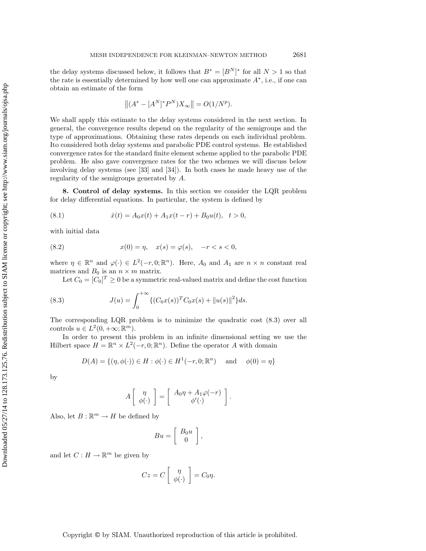the delay systems discussed below, it follows that  $B^* = [B^N]^*$  for all  $N > 1$  so that the rate is essentially determined by how well one can approximate  $A^*$ , i.e., if one can obtain an estimate of the form

$$
||(A^* - [A^N]^* P^N)X_\infty|| = O(1/N^p).
$$

We shall apply this estimate to the delay systems considered in the next section. In general, the convergence results depend on the regularity of the semigroups and the type of approximations. Obtaining these rates depends on each individual problem. Ito considered both delay systems and parabolic PDE control systems. He established convergence rates for the standard finite element scheme applied to the parabolic PDE problem. He also gave convergence rates for the two schemes we will discuss below involving delay systems (see [33] and [34]). In both cases he made heavy use of the regularity of the semigroups generated by A.

**8. Control of delay systems.** In this section we consider the LQR problem for delay differential equations. In particular, the system is defined by

(8.1) 
$$
\dot{x}(t) = A_0 x(t) + A_1 x(t - r) + B_0 u(t), \quad t > 0,
$$

with initial data

(8.2) 
$$
x(0) = \eta, \quad x(s) = \varphi(s), \quad -r < s < 0,
$$

where  $\eta \in \mathbb{R}^n$  and  $\varphi(\cdot) \in L^2(-r, 0; \mathbb{R}^n)$ . Here,  $A_0$  and  $A_1$  are  $n \times n$  constant real matrices and  $B_0$  is an  $n \times m$  matrix.

Let  $C_0 = [C_0]^T \ge 0$  be a symmetric real-valued matrix and define the cost function

(8.3) 
$$
J(u) = \int_0^{+\infty} \{ (C_0 x(s))^T C_0 x(s) + ||u(s)||^2 \} ds.
$$

The corresponding LQR problem is to minimize the quadratic cost (8.3) over all controls  $u \in L^2(0, +\infty; \mathbb{R}^m)$ .

In order to present this problem in an infinite dimensional setting we use the Hilbert space  $H = \mathbb{R}^n \times L^2(-r, 0; \mathbb{R}^n)$ . Define the operator A with domain

$$
D(A) = \{ (\eta, \phi(\cdot)) \in H : \phi(\cdot) \in H^1(-r, 0; \mathbb{R}^n) \text{ and } \phi(0) = \eta \}
$$

by

$$
A\left[\begin{array}{c} \eta \\ \phi(\cdot) \end{array}\right] = \left[\begin{array}{c} A_0\eta + A_1\varphi(-r) \\ \phi'(\cdot) \end{array}\right].
$$

Also, let  $B : \mathbb{R}^m \to H$  be defined by

$$
Bu = \left[ \begin{array}{c} B_0 u \\ 0 \end{array} \right],
$$

and let  $C: H \to \mathbb{R}^m$  be given by

$$
Cz = C\left[\begin{array}{c} \eta \\ \phi(\cdot) \end{array}\right] = C_0 \eta.
$$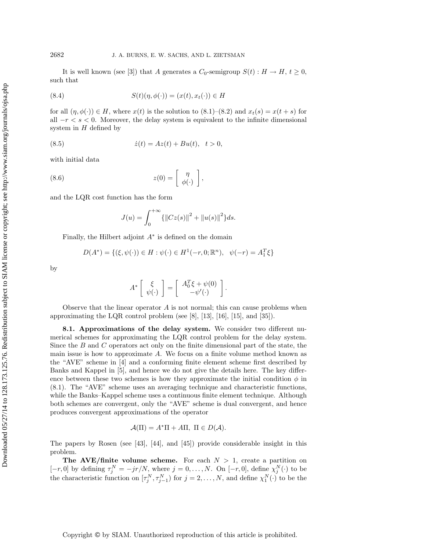It is well known (see [3]) that A generates a  $C_0$ -semigroup  $S(t) : H \to H$ ,  $t \geq 0$ , such that

(8.4) 
$$
S(t)(\eta, \phi(\cdot)) = (x(t), x_t(\cdot)) \in H
$$

for all  $(\eta, \phi(\cdot)) \in H$ , where  $x(t)$  is the solution to  $(8.1)$ – $(8.2)$  and  $x_t(s) = x(t + s)$  for all  $-r < s < 0$ . Moreover, the delay system is equivalent to the infinite dimensional system in  $H$  defined by

(8.5) 
$$
\dot{z}(t) = Az(t) + Bu(t), \quad t > 0,
$$

with initial data

(8.6) 
$$
z(0) = \begin{bmatrix} \eta \\ \phi(\cdot) \end{bmatrix},
$$

and the LQR cost function has the form

$$
J(u) = \int_0^{+\infty} {\{||Cz(s)||^2 + ||u(s)||^2\} ds}.
$$

Finally, the Hilbert adjoint  $A^*$  is defined on the domain

$$
D(A^*) = \{ (\xi, \psi(\cdot)) \in H : \psi(\cdot) \in H^1(-r, 0; \mathbb{R}^n), \psi(-r) = A_1^T \xi \}
$$

by

$$
A^* \left[ \begin{array}{c} \xi \\ \psi(\cdot) \end{array} \right] = \left[ \begin{array}{c} A_0^T \xi + \psi(0) \\ -\psi'(\cdot) \end{array} \right].
$$

Observe that the linear operator  $A$  is not normal; this can cause problems when approximating the LQR control problem (see [8], [13], [16], [15], and [35]).

**8.1. Approximations of the delay system.** We consider two different numerical schemes for approximating the LQR control problem for the delay system. Since the B and C operators act only on the finite dimensional part of the state, the main issue is how to approximate A. We focus on a finite volume method known as the "AVE" scheme in [4] and a conforming finite element scheme first described by Banks and Kappel in [5], and hence we do not give the details here. The key difference between these two schemes is how they approximate the initial condition  $\phi$  in (8.1). The "AVE" scheme uses an averaging technique and characteristic functions, while the Banks–Kappel scheme uses a continuous finite element technique. Although both schemes are convergent, only the "AVE" scheme is dual convergent, and hence produces convergent approximations of the operator

$$
\mathcal{A}(\Pi) = A^* \Pi + A \Pi, \ \Pi \in D(\mathcal{A}).
$$

The papers by Rosen (see [43], [44], and [45]) provide considerable insight in this problem.

**The AVE/finite volume scheme.** For each  $N > 1$ , create a partition on [-r, 0] by defining  $\tau_j^N = -j r/N$ , where  $j = 0, \ldots, N$ . On [-r, 0], define  $\chi_j^N(\cdot)$  to be the characteristic function on  $[\tau_j^N, \tau_{j-1}^N]$  for  $j = 2, ..., N$ , and define  $\chi_1^N(\cdot)$  to be the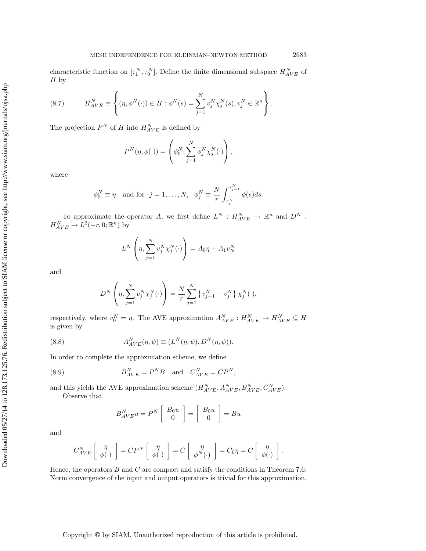characteristic function on  $[\tau_1^N, \tau_0^N]$ . Define the finite dimensional subspace  $H_{AVE}^N$  of

(8.7) 
$$
H_{AVE}^N \equiv \left\{ (\eta, \phi^N(\cdot)) \in H : \phi^N(s) = \sum_{j=1}^N v_j^N \chi_j^N(s), v_j^N \in \mathbb{R}^n \right\}.
$$

The projection  $P^N$  of H into  $H_{AVE}^N$  is defined by

$$
P^{N}(\eta, \phi(\cdot)) = \left(\phi_0^N, \sum_{j=1}^N \phi_j^N \chi_j^N(\cdot)\right),
$$

where

$$
\phi_0^N \equiv \eta
$$
 and for  $j = 1, ..., N$ ,  $\phi_j^N \equiv \frac{N}{r} \int_{\tau_j^N}^{\tau_{j-1}^N} \phi(s) ds$ .

To approximate the operator A, we first define  $L^N$  :  $H_{AVE}^N \rightarrow \mathbb{R}^n$  and  $D^N$  :  $H_{AVE}^N \rightarrow L^2(-r, 0; \mathbb{R}^n)$  by

$$
L^N\left(\eta, \sum_{j=1}^N v_j^N \chi_j^N(\cdot)\right) = A_0 \eta + A_1 v_N^N
$$

and

$$
D^{N}\left(\eta, \sum_{j=1}^{N} v_{j}^{N} \chi_{j}^{N}(\cdot)\right) = \frac{N}{r} \sum_{j=1}^{N} \left\{v_{j-1}^{N} - v_{j}^{N}\right\} \chi_{j}^{N}(\cdot),
$$

respectively, where  $v_0^N = \eta$ . The AVE approximation  $A_{AVE}^N : H_{AVE}^N \to H_{AVE}^N \subseteq H$ is given by

(8.8) 
$$
A_{AVE}^N(\eta, \psi) \equiv (L^N(\eta, \psi), D^N(\eta, \psi)).
$$

In order to complete the approximation scheme, we define

(8.9) 
$$
B_{AVE}^N = P^N B \text{ and } C_{AVE}^N = CP^N,
$$

and this yields the AVE approximation scheme  $(H_{AVE}^N, A_{AVE}^N, B_{AVE}^N, C_{AVE}^N)$ . Observe that

$$
B_{AVE}^N u = P^N \left[ \begin{array}{c} B_0 u \\ 0 \end{array} \right] = \left[ \begin{array}{c} B_0 u \\ 0 \end{array} \right] = Bu
$$

and

$$
C_{AVE}^{N} \left[ \begin{array}{c} \eta \\ \phi(\cdot) \end{array} \right] = CP^{N} \left[ \begin{array}{c} \eta \\ \phi(\cdot) \end{array} \right] = C \left[ \begin{array}{c} \eta \\ \phi^{N}(\cdot) \end{array} \right] = C_{0} \eta = C \left[ \begin{array}{c} \eta \\ \phi(\cdot) \end{array} \right].
$$

Hence, the operators  $B$  and  $C$  are compact and satisfy the conditions in Theorem 7.6. Norm convergence of the input and output operators is trivial for this approximation.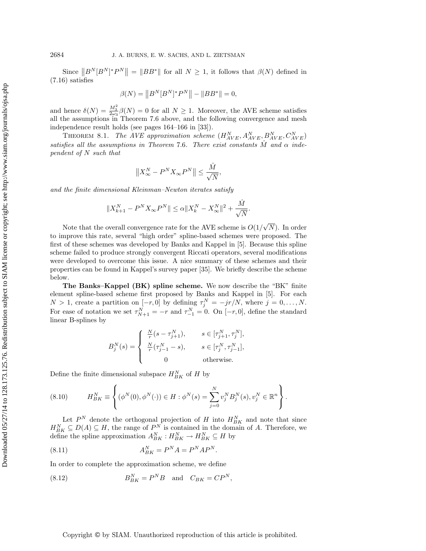Since  $||B^N[B^N]^*P^N|| = ||BB^*||$  for all  $N \geq 1$ , it follows that  $\beta(N)$  defined in (7.16) satisfies

$$
\beta(N) = \|B^N[B^N]^* P^N\| - \|BB^*\| = 0,
$$

and hence  $\delta(N) = \frac{M_3^2}{2\omega_3} \beta(N) = 0$  for all  $N \ge 1$ . Moreover, the AVE scheme satisfies all the assumptions in Theorem 7.6 above, and the following convergence and mesh independence result holds (see pages 164–166 in [33]).

THEOREM 8.1. The AVE approximation scheme  $(H_{AVE}^N, A_{AVE}^N, B_{AVE}^N, C_{AVE}^N)$ satisfies all the assumptions in Theorem 7.6. There exist constants  $\hat{M}$  and  $\alpha$  independent of N such that

$$
||X^N_\infty - P^N X_\infty P^N|| \leq \frac{\hat{M}}{\sqrt{N}},
$$

and the finite dimensional Kleinman–Newton iterates satisfy

$$
\|X_{k+1}^N-P^NX_\infty P^N\|\leq \alpha \|X_k^N-X_\infty^N\|^2+\frac{\hat{M}}{\sqrt{N}}.
$$

Note that the overall convergence rate for the AVE scheme is  $O(1)$ √ N). In order to improve this rate, several "high order" spline-based schemes were proposed. The first of these schemes was developed by Banks and Kappel in [5]. Because this spline scheme failed to produce strongly convergent Riccati operators, several modifications were developed to overcome this issue. A nice summary of these schemes and their properties can be found in Kappel's survey paper [35]. We briefly describe the scheme below.

**The Banks–Kappel (BK) spline scheme.** We now describe the "BK" finite element spline-based scheme first proposed by Banks and Kappel in [5]. For each  $N > 1$ , create a partition on  $[-r, 0]$  by defining  $\tau_j^N = -jr/N$ , where  $j = 0, \ldots, N$ . For ease of notation we set  $\tau_{N+1}^N = -r$  and  $\tau_{-1}^N = 0$ . On  $[-r, 0]$ , define the standard linear B-splines by

$$
B_j^N(s) = \begin{cases} \frac{N}{r}(s - \tau_{j+1}^N), & s \in [\tau_{j+1}^N, \tau_j^N], \\ \frac{N}{r}(\tau_{j-1}^N - s), & s \in [\tau_j^N, \tau_{j-1}^N], \\ 0 & \text{otherwise.} \end{cases}
$$

Define the finite dimensional subspace  $H_{BK}^N$  of H by

$$
(8.10) \tH_{BK}^N \equiv \left\{ (\phi^N(0), \phi^N(\cdot)) \in H : \phi^N(s) = \sum_{j=0}^N v_j^N B_j^N(s), v_j^N \in \mathbb{R}^n \right\}.
$$

Let  $P^N$  denote the orthogonal projection of H into  $H_{BK}^N$  and note that since  $H_{BK}^N \subseteq D(A) \subseteq H$ , the range of  $P^N$  is contained in the domain of A. Therefore, we define the spline approximation  $A_{BK}^N : H_{BK}^N \to H_{BK}^N \subseteq H$  by

$$
(8.11)\qquad \qquad A_{BK}^N = P^N A = P^N A P^N.
$$

In order to complete the approximation scheme, we define

(8.12) 
$$
B_{BK}^N = P^N B \text{ and } C_{BK} = C P^N,
$$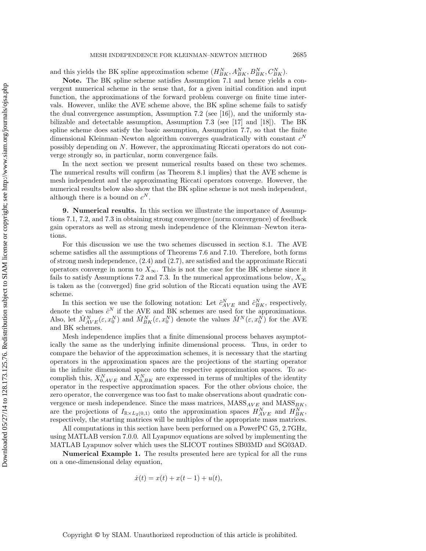and this yields the BK spline approximation scheme  $(H_{BK}^N, A_{BK}^N, B_{BK}^N, C_{BK}^N)$ .

Note. The BK spline scheme satisfies Assumption 7.1 and hence yields a convergent numerical scheme in the sense that, for a given initial condition and input function, the approximations of the forward problem converge on finite time intervals. However, unlike the AVE scheme above, the BK spline scheme fails to satisfy the dual convergence assumption, Assumption 7.2 (see [16]), and the uniformly stabilizable and detectable assumption, Assumption 7.3 (see [17] and [18]). The BK spline scheme does satisfy the basic assumption, Assumption 7.7, so that the finite dimensional Kleinman–Newton algorithm converges quadratically with constant  $c^N$ possibly depending on N. However, the approximating Riccati operators do not converge strongly so, in particular, norm convergence fails.

In the next section we present numerical results based on these two schemes. The numerical results will confirm (as Theorem 8.1 implies) that the AVE scheme is mesh independent and the approximating Riccati operators converge. However, the numerical results below also show that the BK spline scheme is not mesh independent, although there is a bound on  $c^N$ .

**9. Numerical results.** In this section we illustrate the importance of Assumptions 7.1, 7.2, and 7.3 in obtaining strong convergence (norm convergence) of feedback gain operators as well as strong mesh independence of the Kleinman–Newton iterations.

For this discussion we use the two schemes discussed in section 8.1. The AVE scheme satisfies all the assumptions of Theorems 7.6 and 7.10. Therefore, both forms of strong mesh independence, (2.4) and (2.7), are satisfied and the approximate Riccati operators converge in norm to  $X_{\infty}$ . This is not the case for the BK scheme since it fails to satisfy Assumptions 7.2 and 7.3. In the numerical approximations below,  $X_{\infty}$ is taken as the (converged) fine grid solution of the Riccati equation using the AVE scheme.

In this section we use the following notation: Let  $\hat{c}_{AVE}^N$  and  $\hat{c}_{BK}^N$ , respectively, denote the values  $\hat{c}^N$  if the AVE and BK schemes are used for the approximations. Also, let  $\hat{M}_{AVE}^N(\varepsilon, x_0^N)$  and  $\hat{M}_{BK}^N(\varepsilon, x_0^N)$  denote the values  $\hat{M}^N(\varepsilon, x_0^N)$  for the AVE and BK schemes.

Mesh independence implies that a finite dimensional process behaves asymptotically the same as the underlying infinite dimensional process. Thus, in order to compare the behavior of the approximation schemes, it is necessary that the starting operators in the approximation spaces are the projections of the starting operator in the infinite dimensional space onto the respective approximation spaces. To accomplish this,  $X_{0,AVE}^N$  and  $X_{0,BK}^N$  are expressed in terms of multiples of the identity operator in the respective approximation spaces. For the other obvious choice, the zero operator, the convergence was too fast to make observations about quadratic convergence or mesh independence. Since the mass matrices,  $MASS_{AVE}$  and  $MASS_{BK}$ , are the projections of  $I_{\mathbb{R}\times L_2(0,1)}$  onto the approximation spaces  $H_{AVE}^N$  and  $H_{BK}^N$ , respectively, the starting matrices will be multiples of the appropriate mass matrices.

All computations in this section have been performed on a PowerPC G5, 2.7GHz, using MATLAB version 7.0.0. All Lyapunov equations are solved by implementing the MATLAB Lyapunov solver which uses the SLICOT routines SB03MD and SG03AD.

**Numerical Example 1.** The results presented here are typical for all the runs on a one-dimensional delay equation,

$$
\dot{x}(t) = x(t) + x(t-1) + u(t),
$$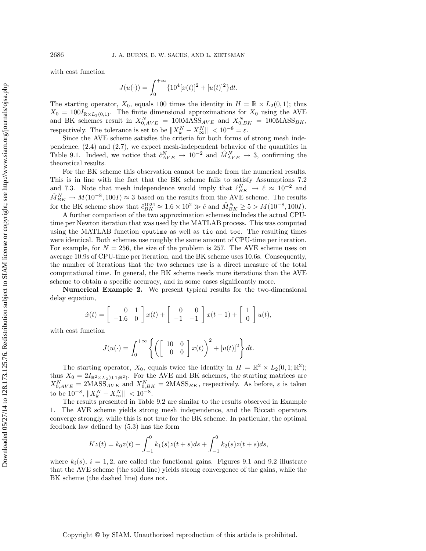with cost function

$$
J(u(\cdot)) = \int_0^{+\infty} \{10^4 [x(t)]^2 + [u(t)]^2\} dt.
$$

The starting operator,  $X_0$ , equals 100 times the identity in  $H = \mathbb{R} \times L_2(0, 1)$ ; thus  $X_0 = 100I_{\mathbb{R}\times L_2(0,1)}$ . The finite dimensional approximations for  $X_0$  using the AVE and BK schemes result in  $X_{0,AVE}^N = 100 \text{MASS}_{AVE}$  and  $X_{0,BK}^N = 100 \text{MASS}_{BK}$ , respectively. The tolerance is set to be  $||X_k^N - X_{\infty}^N|| < 10^{-8} = \varepsilon$ .

Since the AVE scheme satisfies the criteria for both forms of strong mesh independence, (2.4) and (2.7), we expect mesh-independent behavior of the quantities in Table 9.1. Indeed, we notice that  $\hat{c}_{AVE}^N \to 10^{-2}$  and  $\hat{M}_{AVE}^N \to 3$ , confirming the theoretical results.

For the BK scheme this observation cannot be made from the numerical results. This is in line with the fact that the BK scheme fails to satisfy Assumptions 7.2 and 7.3. Note that mesh independence would imply that  $\hat{c}_{BK}^N \to \hat{c} \approx 10^{-2}$  and  $\hat{M}^N_{BK} \to M(10^{-8}, 100I) \approx 3$  based on the results from the AVE scheme. The results for the BK scheme show that  $\hat{c}_{BK}^{1024} \approx 1.6 \times 10^2 \gg \hat{c}$  and  $\hat{M}_{BK}^N \ge 5 > M(10^{-8}, 100I)$ .

A further comparison of the two approximation schemes includes the actual CPUtime per Newton iteration that was used by the MATLAB process. This was computed using the MATLAB function cputime as well as tic and toc. The resulting times were identical. Both schemes use roughly the same amount of CPU-time per iteration. For example, for  $N = 256$ , the size of the problem is 257. The AVE scheme uses on average 10.9s of CPU-time per iteration, and the BK scheme uses 10.6s. Consequently, the number of iterations that the two schemes use is a direct measure of the total computational time. In general, the BK scheme needs more iterations than the AVE scheme to obtain a specific accuracy, and in some cases significantly more.

**Numerical Example 2.** We present typical results for the two-dimensional delay equation,

$$
\dot{x}(t) = \begin{bmatrix} 0 & 1 \\ -1.6 & 0 \end{bmatrix} x(t) + \begin{bmatrix} 0 & 0 \\ -1 & -1 \end{bmatrix} x(t-1) + \begin{bmatrix} 1 \\ 0 \end{bmatrix} u(t),
$$

with cost function

$$
J(u(\cdot) = \int_0^{+\infty} \left\{ \left( \begin{bmatrix} 10 & 0 \\ 0 & 0 \end{bmatrix} x(t) \right)^2 + [u(t)]^2 \right\} dt.
$$

The starting operator,  $X_0$ , equals twice the identity in  $H = \mathbb{R}^2 \times L_2(0, 1; \mathbb{R}^2);$ thus  $X_0 = 2I_{\mathbb{R}^2 \times L_2(0,1;\mathbb{R}^2)}$ . For the AVE and BK schemes, the starting matrices are  $X_{0,AVE}^N = 2MASS_{AVE}$  and  $X_{0,BK}^N = 2MASS_{BK}$ , respectively. As before,  $\varepsilon$  is taken to be  $10^{-8}$ ,  $\|X_k^N - X_{\infty}^N\|$ ,  $\leq 10^{-8}$ .

The results presented in Table 9.2 are similar to the results observed in Example 1. The AVE scheme yields strong mesh independence, and the Riccati operators converge strongly, while this is not true for the BK scheme. In particular, the optimal feedback law defined by (5.3) has the form

$$
Kz(t) = k_0z(t) + \int_{-1}^{0} k_1(s)z(t+s)ds + \int_{-1}^{0} k_2(s)z(t+s)ds,
$$

where  $k_i(s)$ ,  $i = 1, 2$ , are called the functional gains. Figures 9.1 and 9.2 illustrate that the AVE scheme (the solid line) yields strong convergence of the gains, while the BK scheme (the dashed line) does not.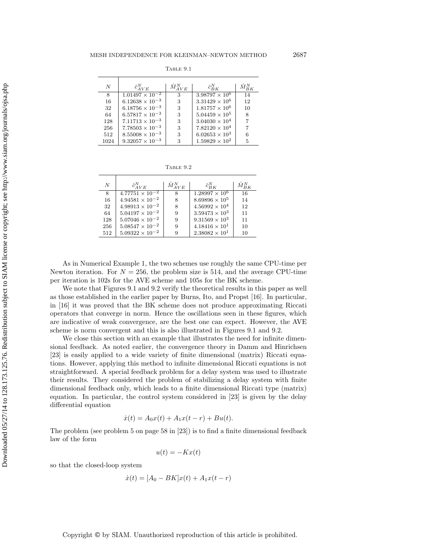Table 9.1

| $\overline{N}$ | $\hat{c}_{AVE}^N$                  | $\hat{M}^{N}_{AVE}$ | $\hat{c}_{BK}^N$        | $\hat{M}_{\bm{B}\bm{K}}^{\bm{N}}$ |
|----------------|------------------------------------|---------------------|-------------------------|-----------------------------------|
| 8              | $\frac{1.01497 \times 10^{-2}}{2}$ | 3                   | $3.98797 \times 10^6$   | $\overline{14}$                   |
| 16             | $6.12638 \times 10^{-3}$           | 3                   | $3.31429 \times 10^6$   | 12                                |
| 32             | $6.18756 \times 10^{-3}$           | 3                   | $1.81757 \times 10^{6}$ | 10                                |
| 64             | $6.57817 \times 10^{-3}$           | 3                   | $5.04459 \times 10^5$   | 8                                 |
| 128            | $7.11713 \times 10^{-3}$           | 3                   | $3.04030 \times 10^{4}$ | $\overline{7}$                    |
| 256            | $7.78503 \times 10^{-3}$           | 3                   | $7.82120 \times 10^{4}$ | 7                                 |
| 512            | $8.55008 \times 10^{-3}$           | 3                   | $6.02653 \times 10^3$   | 6                                 |
| 1024           | $9.32057 \times 10^{-3}$           | 3                   | $1.59829 \times 10^{2}$ | 5                                 |

TABLE  $9.2$ 

| N   | $\hat{c}_{AVE}^{N}$      | $\hat{M}^N_{AVE}$ | $\hat{c}_{BK}^N$        | $\hat{M}_{BK}^N$ |
|-----|--------------------------|-------------------|-------------------------|------------------|
| 8   | $4.77751 \times 10^{-2}$ | 8                 | $1.28997 \times 10^6$   | $\overline{16}$  |
| 16  | $4.94581 \times 10^{-2}$ | 8                 | $8.69896 \times 10^5$   | 14               |
| 32  | $4.98913 \times 10^{-2}$ | 8                 | $4.56992 \times 10^{4}$ | 12               |
| 64  | $5.04197 \times 10^{-2}$ | 9                 | $3.59473 \times 10^3$   | 11               |
| 128 | $5.07046 \times 10^{-2}$ | 9                 | $9.31569 \times 10^{3}$ | 11               |
| 256 | $5.08547 \times 10^{-2}$ |                   | $4.18416 \times 10^{1}$ | 10               |
| 512 | $5.09322 \times 10^{-2}$ |                   | $2.38082 \times 10^{1}$ | 10               |

As in Numerical Example 1, the two schemes use roughly the same CPU-time per Newton iteration. For  $N = 256$ , the problem size is 514, and the average CPU-time per iteration is 102s for the AVE scheme and 105s for the BK scheme.

We note that Figures 9.1 and 9.2 verify the theoretical results in this paper as well as those established in the earlier paper by Burns, Ito, and Propst [16]. In particular, in [16] it was proved that the BK scheme does not produce approximating Riccati operators that converge in norm. Hence the oscillations seen in these figures, which are indicative of weak convergence, are the best one can expect. However, the AVE scheme is norm convergent and this is also illustrated in Figures 9.1 and 9.2.

We close this section with an example that illustrates the need for infinite dimensional feedback. As noted earlier, the convergence theory in Damm and Hinrichsen [23] is easily applied to a wide variety of finite dimensional (matrix) Riccati equations. However, applying this method to infinite dimensional Riccati equations is not straightforward. A special feedback problem for a delay system was used to illustrate their results. They considered the problem of stabilizing a delay system with finite dimensional feedback only, which leads to a finite dimensional Riccati type (matrix) equation. In particular, the control system considered in [23] is given by the delay differential equation

$$
\dot{x}(t) = A_0 x(t) + A_1 x(t - r) + Bu(t).
$$

The problem (see problem 5 on page 58 in [23]) is to find a finite dimensional feedback law of the form

$$
u(t) = -Kx(t)
$$

so that the closed-loop system

$$
\dot{x}(t) = [A_0 - BK]x(t) + A_1x(t - r)
$$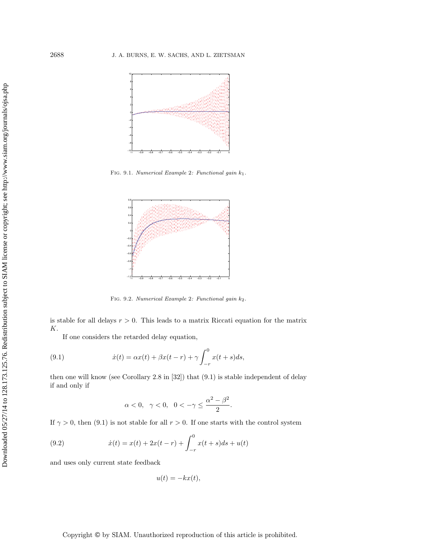

Fig. 9.1. Numerical Example 2: Functional gain k1.



Fig. 9.2. Numerical Example 2: Functional gain k2.

is stable for all delays  $r > 0$ . This leads to a matrix Riccati equation for the matrix K.

If one considers the retarded delay equation,

(9.1) 
$$
\dot{x}(t) = \alpha x(t) + \beta x(t-r) + \gamma \int_{-r}^{0} x(t+s)ds,
$$

then one will know (see Corollary 2.8 in [32]) that (9.1) is stable independent of delay if and only if

$$
\alpha < 0, \quad \gamma < 0, \quad 0 < -\gamma \leq \frac{\alpha^2 - \beta^2}{2}.
$$

If  $\gamma > 0$ , then (9.1) is not stable for all  $r > 0$ . If one starts with the control system

(9.2) 
$$
\dot{x}(t) = x(t) + 2x(t-r) + \int_{-r}^{0} x(t+s)ds + u(t)
$$

and uses only current state feedback

$$
u(t) = -kx(t),
$$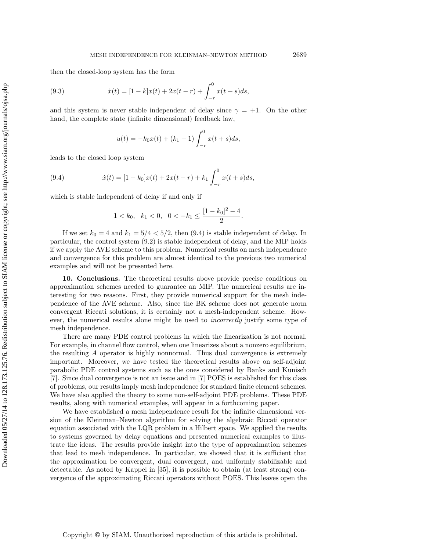then the closed-loop system has the form

(9.3) 
$$
\dot{x}(t) = [1 - k]x(t) + 2x(t - r) + \int_{-r}^{0} x(t + s)ds,
$$

and this system is never stable independent of delay since  $\gamma = +1$ . On the other hand, the complete state (infinite dimensional) feedback law,

$$
u(t) = -k_0 x(t) + (k_1 - 1) \int_{-r}^{0} x(t+s) ds,
$$

leads to the closed loop system

(9.4) 
$$
\dot{x}(t) = [1 - k_0]x(t) + 2x(t - r) + k_1 \int_{-r}^{0} x(t + s)ds,
$$

which is stable independent of delay if and only if

$$
1 < k_0, \ \ k_1 < 0, \ \ 0 < -k_1 \le \frac{[1 - k_0]^2 - 4}{2}.
$$

If we set  $k_0 = 4$  and  $k_1 = 5/4 < 5/2$ , then (9.4) is stable independent of delay. In particular, the control system (9.2) is stable independent of delay, and the MIP holds if we apply the AVE scheme to this problem. Numerical results on mesh independence and convergence for this problem are almost identical to the previous two numerical examples and will not be presented here.

**10. Conclusions.** The theoretical results above provide precise conditions on approximation schemes needed to guarantee an MIP. The numerical results are interesting for two reasons. First, they provide numerical support for the mesh independence of the AVE scheme. Also, since the BK scheme does not generate norm convergent Riccati solutions, it is certainly not a mesh-independent scheme. However, the numerical results alone might be used to *incorrectly* justify some type of mesh independence.

There are many PDE control problems in which the linearization is not normal. For example, in channel flow control, when one linearizes about a nonzero equilibrium, the resulting A operator is highly nonnormal. Thus dual convergence is extremely important. Moreover, we have tested the theoretical results above on self-adjoint parabolic PDE control systems such as the ones considered by Banks and Kunisch [7]. Since dual convergence is not an issue and in [7] POES is established for this class of problems, our results imply mesh independence for standard finite element schemes. We have also applied the theory to some non-self-adjoint PDE problems. These PDE results, along with numerical examples, will appear in a forthcoming paper.

We have established a mesh independence result for the infinite dimensional version of the Kleinman–Newton algorithm for solving the algebraic Riccati operator equation associated with the LQR problem in a Hilbert space. We applied the results to systems governed by delay equations and presented numerical examples to illustrate the ideas. The results provide insight into the type of approximation schemes that lead to mesh independence. In particular, we showed that it is sufficient that the approximation be convergent, dual convergent, and uniformly stabilizable and detectable. As noted by Kappel in [35], it is possible to obtain (at least strong) convergence of the approximating Riccati operators without POES. This leaves open the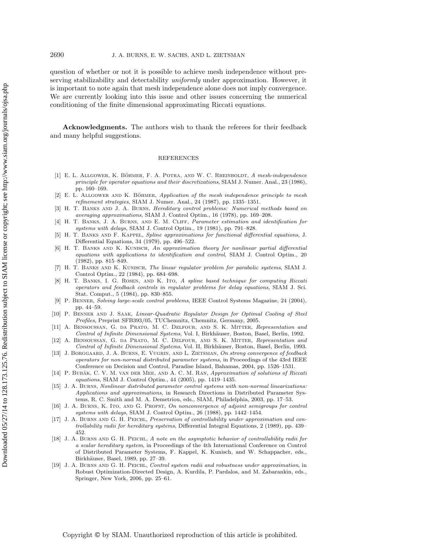question of whether or not it is possible to achieve mesh independence without preserving stabilizability and detectability uniformly under approximation. However, it is important to note again that mesh independence alone does not imply convergence. We are currently looking into this issue and other issues concerning the numerical conditioning of the finite dimensional approximating Riccati equations.

**Acknowledgments.** The authors wish to thank the referees for their feedback and many helpful suggestions.

## REFERENCES

- [1] E. L. ALLGOWER, K. BÖHMER, F. A. POTRA, AND W. C. RHEINBOLDT, A mesh-independence principle for operator equations and their discretizations, SIAM J. Numer. Anal., 23 (1986), pp. 160–169.
- [2] E. L. ALLGOWER AND K. BÖHMER, Application of the mesh independence principle to mesh refinement strategies, SIAM J. Numer. Anal., 24 (1987), pp. 1335–1351.
- [3] H. T. BANKS AND J. A. BURNS, Hereditary control problems: Numerical methods based on averaging approximations, SIAM J. Control Optim., 16 (1978), pp. 169–208.
- [4] H. T. BANKS, J. A. BURNS, AND E. M. CLIFF, Parameter estimation and identification for systems with delays, SIAM J. Control Optim., 19 (1981), pp. 791–828.
- [5] H. T. Banks and F. Kappel, Spline approximations for functional differential equations, J. Differential Equations, 34 (1979), pp. 496–522.
- [6] H. T. BANKS AND K. KUNISCH, An approximation theory for nonlinear partial differential equations with applications to identification and control, SIAM J. Control Optim., 20 (1982), pp. 815–849.
- [7] H. T. Banks and K. Kunisch, The linear regulator problem for parabolic systems, SIAM J. Control Optim., 22 (1984), pp. 684–698.
- [8] H. T. Banks, I. G. Rosen, and K. Ito, A spline based technique for computing Riccati operators and feedback controls in regulator problems for delay equations, SIAM J. Sci. Stat. Comput., 5 (1984), pp. 830–855.
- [9] P. Benner, Solving large-scale control problems, IEEE Control Systems Magazine, 24 (2004), pp. 44–59.
- [10] P. BENNER AND J. SAAK, Linear-Quadratic Regulator Design for Optimal Cooling of Steel Profiles, Preprint SFB393/05, TUChemnitz, Chemnitz, Germany, 2005.
- [11] A. Bensoussan, G. da Prato, M. C. Delfour, and S. K. Mitter, Representation and Control of Infinite Dimensional Systems, Vol. I, Birkhäuser, Boston, Basel, Berlin, 1992.
- [12] A. Bensoussan, G. da Prato, M. C. Delfour, and S. K. Mitter, Representation and Control of Infinite Dimensional Systems, Vol. II, Birkhäuser, Boston, Basel, Berlin, 1993.
- [13] J. BORGGAARD, J. A. BURNS, E. VUGRIN, AND L. ZIETSMAN, On strong convergence of feedback operators for non-normal distributed parameter systems, in Proceedings of the 43rd IEEE Conference on Decision and Control, Paradise Island, Bahamas, 2004, pp. 1526–1531.
- [14] P. BUBÁK, C. V. M. VAN DER MEE, AND A. C. M. RAN, Approximation of solutions of Riccati equations, SIAM J. Control Optim., 44 (2005), pp. 1419–1435.
- [15] J. A. Burns, Nonlinear distributed parameter control systems with non-normal linearizations: Applications and approximations, in Research Directions in Distributed Parameter Systems, R. C. Smith and M. A. Demetriou, eds., SIAM, Philadelphia, 2003, pp. 17–53.
- [16] J. A. BURNS, K. ITO, AND G. PROPST, On nonconvergence of adjoint semigroups for control systems with delays, SIAM J. Control Optim., 26 (1988), pp. 1442–1454.
- [17] J. A. Burns and G. H. Peichl, Preservation of controllability under approximation and controllability radii for hereditary systems, Differential Integral Equations, 2 (1989), pp. 439– 452.
- [18] J. A. BURNS AND G. H. PEICHL, A note on the asymptotic behavior of controllability radii for a scalar hereditary system, in Proceedings of the 4th International Conference on Control of Distributed Parameter Systems, F. Kappel, K. Kunisch, and W. Schappacher, eds., Birkhäuser, Basel, 1989, pp. 27-39.
- [19] J. A. Burns and G. H. Peichl, Control system radii and robustness under approximation, in Robust Optimization-Directed Design, A. Kurdila, P. Pardalos, and M. Zabarankin, eds., Springer, New York, 2006, pp. 25–61.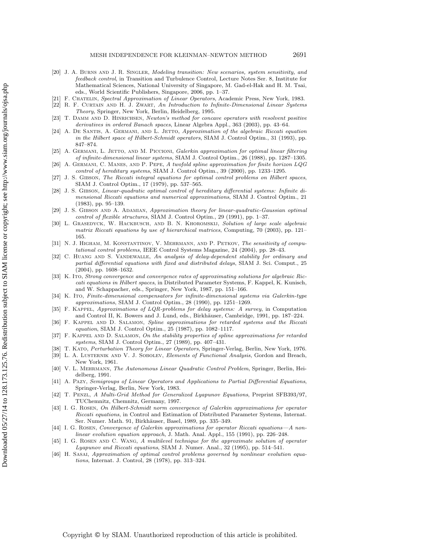- [20] J. A. BURNS AND J. R. SINGLER, Modeling transition: New scenarios, system sensitivity, and feedback control, in Transition and Turbulence Control, Lecture Notes Ser. 8, Institute for Mathematical Sciences, National University of Singapore, M. Gad-el-Hak and H. M. Tsai, eds., World Scientific Publishers, Singapore, 2006, pp. 1–37.
- [21] F. CHATELIN, Spectral Approximation of Linear Operators, Academic Press, New York, 1983.
- [22] R. F. Curtain and H. J. Zwart, An Introduction to Infinite-Dimensional Linear Systems Theory, Springer, New York, Berlin, Heidelberg, 1995.
- [23] T. Damm and D. Hinrichsen, Newton's method for concave operators with resolvent positive derivatives in ordered Banach spaces, Linear Algebra Appl., 363 (2003), pp. 43–64.
- [24] A. DE SANTIS, A. GERMANI, AND L. JETTO, Approximation of the algebraic Riccati equation in the Hilbert space of Hilbert-Schmidt operators, SIAM J. Control Optim., 31 (1993), pp. 847–874.
- [25] A. GERMANI, L. JETTO, AND M. PICCIONI, Galerkin approximation for optimal linear filtering of infinite-dimensional linear systems, SIAM J. Control Optim., 26 (1988), pp. 1287–1305.
- [26] A. Germani, C. Manes, and P. Pepe, A twofold spline approximation for finite horizon LQG control of hereditary systems, SIAM J. Control Optim., 39 (2000), pp. 1233–1295.
- [27] J. S. GIBSON, The Riccati integral equations for optimal control problems on Hilbert spaces, SIAM J. Control Optim., 17 (1979), pp. 537–565.
- [28] J. S. Gibson, Linear-quadratic optimal control of hereditary differential systems: Infinite dimensional Riccati equations and numerical approximations, SIAM J. Control Optim., 21 (1983), pp. 95–139.
- [29] J. S. Gibson and A. Adamian, Approximation theory for linear-quadratic-Gaussian optimal control of flexible structures, SIAM J. Control Optim., 29 (1991), pp. 1–37.
- [30] L. GRASEDYCK, W. HACKBUSCH, AND B. N. KHOROMSKIJ, Solution of large scale algebraic matrix Riccati equations by use of hierarchical matrices, Computing, 70 (2003), pp. 121– 165.
- [31] N. J. HIGHAM, M. KONSTANTINOV, V. MEHRMANN, AND P. PETKOV, The sensitivity of computational control problems, IEEE Control Systems Magazine, 24 (2004), pp. 28–43.
- [32] C. HUANG AND S. VANDEWALLE, An analysis of delay-dependent stability for ordinary and partial differential equations with fixed and distributed delays, SIAM J. Sci. Comput., 25 (2004), pp. 1608–1632.
- [33] K. ITO, Strong convergence and convergence rates of approximating solutions for algebraic Riccati equations in Hilbert spaces, in Distributed Parameter Systems, F. Kappel, K. Kunisch, and W. Schappacher, eds., Springer, New York, 1987, pp. 151–166.
- [34] K. Ito, Finite-dimensional compensators for infinite-dimensional systems via Galerkin-type approximations, SIAM J. Control Optim., 28 (1990), pp. 1251–1269.
- [35] F. KAPPEL, Approximations of LQR-problems for delay systems: A survey, in Computation and Control II, K. Bowers and J. Lund, eds., Birkhäuser, Cambridge, 1991, pp. 187–224.
- [36] F. Kappel and D. Salamon, Spline approximations for retarded systems and the Riccati equation, SIAM J. Control Optim., 25 (1987), pp. 1082–1117.
- [37] F. KAPPEL AND D. SALAMON, On the stability properties of spline approximations for retarded systems, SIAM J. Control Optim., 27 (1989), pp. 407–431.
- [38] T. KATO, *Perturbation Theory for Linear Operators*, Springer-Verlag, Berlin, New York, 1976.<br>[39] L. A. LUSTERNIK AND V. J. SOBOLEV, *Elements of Functional Analysis*, Gordon and Breach,
- L. A. LUSTERNIK AND V. J. SOBOLEV, Elements of Functional Analysis, Gordon and Breach, New York, 1961.
- [40] V. L. MEHRMANN, The Autonomous Linear Quadratic Control Problem, Springer, Berlin, Heidelberg, 1991.
- [41] A. Pazy, Semigroups of Linear Operators and Applications to Partial Differential Equations, Springer-Verlag, Berlin, New York, 1983.
- [42] T. Penzl, A Multi-Grid Method for Generalized Lyapunov Equations, Preprint SFB393/97, TUChemnitz, Chemnitz, Germany, 1997.
- [43] I. G. Rosen, On Hilbert-Schmidt norm convergence of Galerkin approximations for operator Riccati equations, in Control and Estimation of Distributed Parameter Systems, Internat. Ser. Numer. Math. 91, Birkhäuser, Basel, 1989, pp. 335–349.
- [44] I. G. Rosen, Convergence of Galerkin approximations for operator Riccati equations—A nonlinear evolution equation approach, J. Math. Anal. Appl., 155 (1991), pp. 226–248.
- [45] I. G. ROSEN AND C. WANG, A multilevel technique for the approximate solution of operator Lyapunov and Riccati equations, SIAM J. Numer. Anal., 32 (1995), pp. 514–541.
- [46] H. SASAI, Approximation of optimal control problems governed by nonlinear evolution equations, Internat. J. Control, 28 (1978), pp. 313–324.